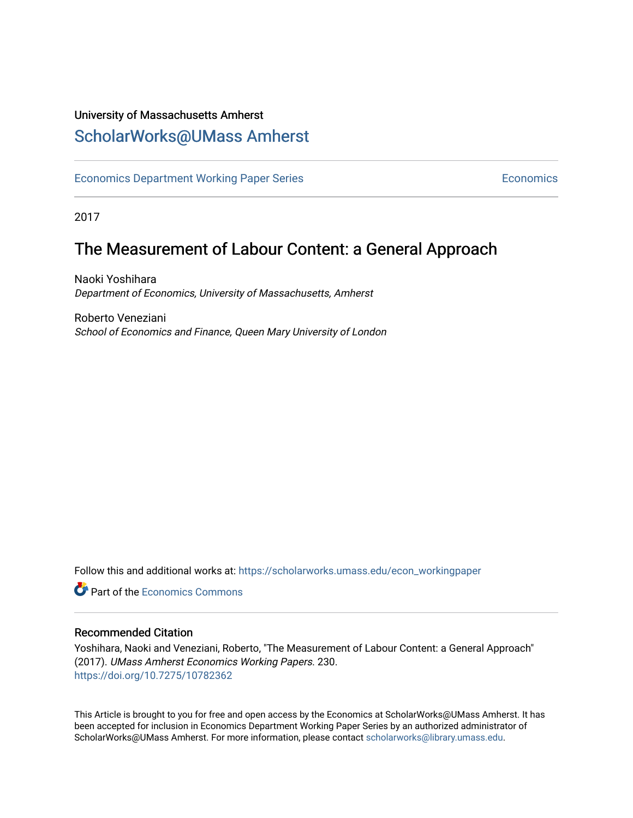### University of Massachusetts Amherst [ScholarWorks@UMass Amherst](https://scholarworks.umass.edu/)

[Economics Department Working Paper Series](https://scholarworks.umass.edu/econ_workingpaper) **Economics** Economics

2017

## The Measurement of Labour Content: a General Approach

Naoki Yoshihara Department of Economics, University of Massachusetts, Amherst

Roberto Veneziani School of Economics and Finance, Queen Mary University of London

Follow this and additional works at: [https://scholarworks.umass.edu/econ\\_workingpaper](https://scholarworks.umass.edu/econ_workingpaper?utm_source=scholarworks.umass.edu%2Fecon_workingpaper%2F230&utm_medium=PDF&utm_campaign=PDFCoverPages) 

**C** Part of the [Economics Commons](http://network.bepress.com/hgg/discipline/340?utm_source=scholarworks.umass.edu%2Fecon_workingpaper%2F230&utm_medium=PDF&utm_campaign=PDFCoverPages)

#### Recommended Citation

Yoshihara, Naoki and Veneziani, Roberto, "The Measurement of Labour Content: a General Approach" (2017). UMass Amherst Economics Working Papers. 230. <https://doi.org/10.7275/10782362>

This Article is brought to you for free and open access by the Economics at ScholarWorks@UMass Amherst. It has been accepted for inclusion in Economics Department Working Paper Series by an authorized administrator of ScholarWorks@UMass Amherst. For more information, please contact [scholarworks@library.umass.edu.](mailto:scholarworks@library.umass.edu)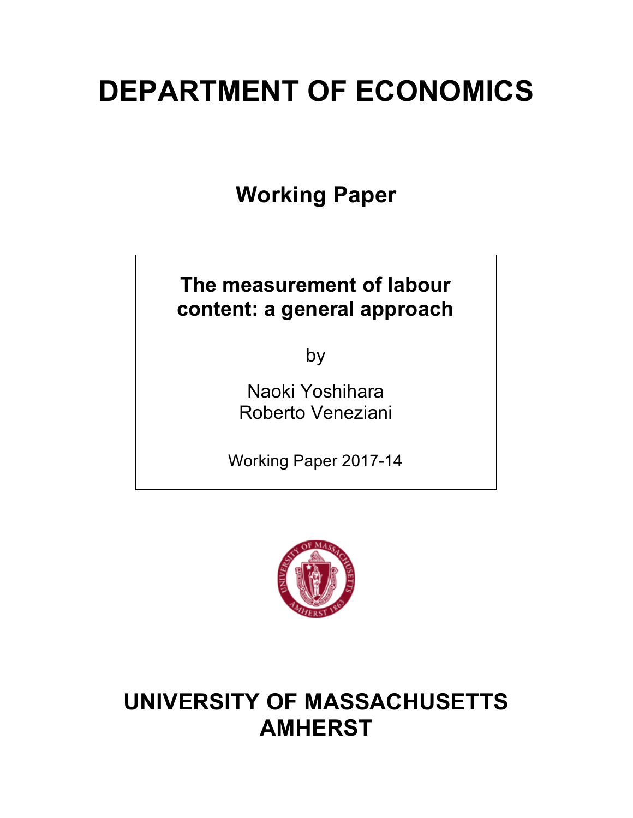# **DEPARTMENT OF ECONOMICS**

**Working Paper**

# **The measurement of labour content: a general approach**

by

Naoki Yoshihara Roberto Veneziani

Working Paper 2017-14



# **UNIVERSITY OF MASSACHUSETTS AMHERST**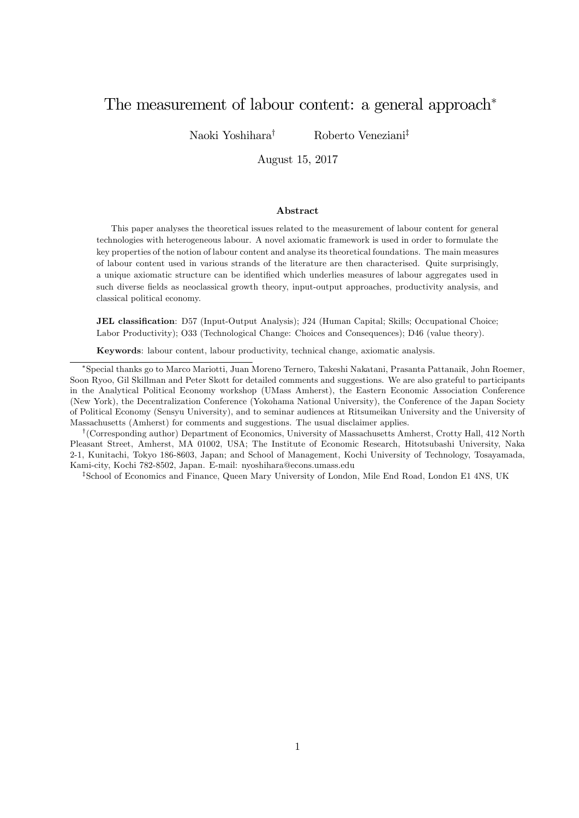### The measurement of labour content: a general approach<sup>∗</sup>

Naoki Yoshihara† Roberto Veneziani‡

August 15, 2017

#### Abstract

This paper analyses the theoretical issues related to the measurement of labour content for general technologies with heterogeneous labour. A novel axiomatic framework is used in order to formulate the key properties of the notion of labour content and analyse its theoretical foundations. The main measures of labour content used in various strands of the literature are then characterised. Quite surprisingly, a unique axiomatic structure can be identified which underlies measures of labour aggregates used in such diverse fields as neoclassical growth theory, input-output approaches, productivity analysis, and classical political economy.

JEL classification: D57 (Input-Output Analysis); J24 (Human Capital; Skills; Occupational Choice; Labor Productivity); O33 (Technological Change: Choices and Consequences); D46 (value theory).

Keywords: labour content, labour productivity, technical change, axiomatic analysis.

†(Corresponding author) Department of Economics, University of Massachusetts Amherst, Crotty Hall, 412 North Pleasant Street, Amherst, MA 01002, USA; The Institute of Economic Research, Hitotsubashi University, Naka 2-1, Kunitachi, Tokyo 186-8603, Japan; and School of Management, Kochi University of Technology, Tosayamada, Kami-city, Kochi 782-8502, Japan. E-mail: nyoshihara@econs.umass.edu

‡School of Economics and Finance, Queen Mary University of London, Mile End Road, London E1 4NS, UK

<sup>∗</sup>Special thanks go to Marco Mariotti, Juan Moreno Ternero, Takeshi Nakatani, Prasanta Pattanaik, John Roemer, Soon Ryoo, Gil Skillman and Peter Skott for detailed comments and suggestions. We are also grateful to participants in the Analytical Political Economy workshop (UMass Amherst), the Eastern Economic Association Conference (New York), the Decentralization Conference (Yokohama National University), the Conference of the Japan Society of Political Economy (Sensyu University), and to seminar audiences at Ritsumeikan University and the University of Massachusetts (Amherst) for comments and suggestions. The usual disclaimer applies.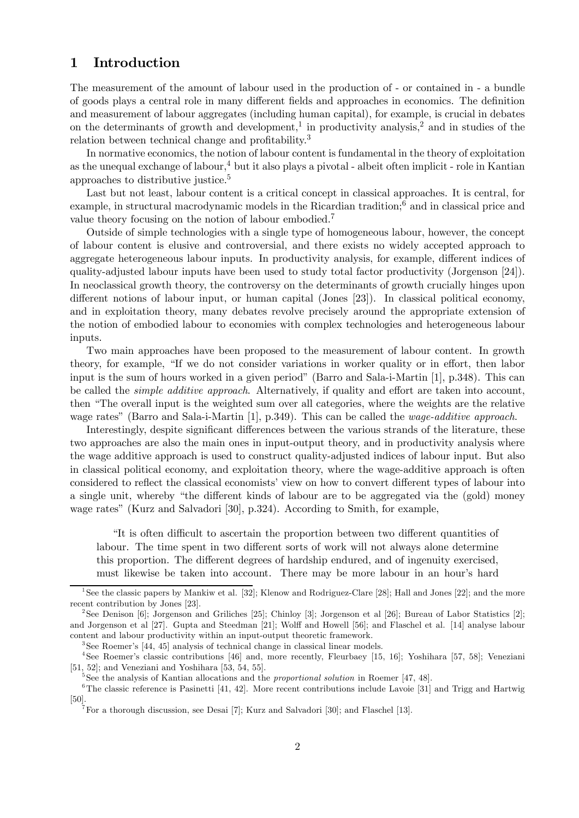#### 1 Introduction

The measurement of the amount of labour used in the production of - or contained in - a bundle of goods plays a central role in many different fields and approaches in economics. The definition and measurement of labour aggregates (including human capital), for example, is crucial in debates on the determinants of growth and development,<sup>1</sup> in productivity analysis,<sup>2</sup> and in studies of the relation between technical change and profitability.<sup>3</sup>

In normative economics, the notion of labour content is fundamental in the theory of exploitation as the unequal exchange of labour, $4$  but it also plays a pivotal - albeit often implicit - role in Kantian approaches to distributive justice.5

Last but not least, labour content is a critical concept in classical approaches. It is central, for example, in structural macrodynamic models in the Ricardian tradition;<sup>6</sup> and in classical price and value theory focusing on the notion of labour embodied.<sup>7</sup>

Outside of simple technologies with a single type of homogeneous labour, however, the concept of labour content is elusive and controversial, and there exists no widely accepted approach to aggregate heterogeneous labour inputs. In productivity analysis, for example, different indices of quality-adjusted labour inputs have been used to study total factor productivity (Jorgenson [24]). In neoclassical growth theory, the controversy on the determinants of growth crucially hinges upon different notions of labour input, or human capital (Jones [23]). In classical political economy, and in exploitation theory, many debates revolve precisely around the appropriate extension of the notion of embodied labour to economies with complex technologies and heterogeneous labour inputs.

Two main approaches have been proposed to the measurement of labour content. In growth theory, for example, "If we do not consider variations in worker quality or in effort, then labor input is the sum of hours worked in a given period" (Barro and Sala-i-Martin [1], p.348). This can be called the simple additive approach. Alternatively, if quality and effort are taken into account, then "The overall input is the weighted sum over all categories, where the weights are the relative wage rates" (Barro and Sala-i-Martin [1], p.349). This can be called the *wage-additive approach*.

Interestingly, despite significant differences between the various strands of the literature, these two approaches are also the main ones in input-output theory, and in productivity analysis where the wage additive approach is used to construct quality-adjusted indices of labour input. But also in classical political economy, and exploitation theory, where the wage-additive approach is often considered to reflect the classical economists' view on how to convert different types of labour into a single unit, whereby "the different kinds of labour are to be aggregated via the (gold) money wage rates" (Kurz and Salvadori [30], p.324). According to Smith, for example,

"It is often difficult to ascertain the proportion between two different quantities of labour. The time spent in two different sorts of work will not always alone determine this proportion. The different degrees of hardship endured, and of ingenuity exercised, must likewise be taken into account. There may be more labour in an hour's hard

<sup>1</sup>See the classic papers by Mankiw et al. [32]; Klenow and Rodriguez-Clare [28]; Hall and Jones [22]; and the more recent contribution by Jones [23].

<sup>2</sup>See Denison [6]; Jorgenson and Griliches [25]; Chinloy [3]; Jorgenson et al [26]; Bureau of Labor Statistics [2]; and Jorgenson et al [27]. Gupta and Steedman [21]; Wolff and Howell [56]; and Flaschel et al. [14] analyse labour content and labour productivity within an input-output theoretic framework.

<sup>&</sup>lt;sup>3</sup>See Roemer's [44, 45] analysis of technical change in classical linear models.

<sup>4</sup>See Roemer's classic contributions [46] and, more recently, Fleurbaey [15, 16]; Yoshihara [57, 58]; Veneziani [51, 52]; and Veneziani and Yoshihara [53, 54, 55].

 $5$ See the analysis of Kantian allocations and the *proportional solution* in Roemer [47, 48].

 $6$ The classic reference is Pasinetti [41, 42]. More recent contributions include Lavoie [31] and Trigg and Hartwig [50]. <sup>7</sup>For a thorough discussion, see Desai [7]; Kurz and Salvadori [30]; and Flaschel [13].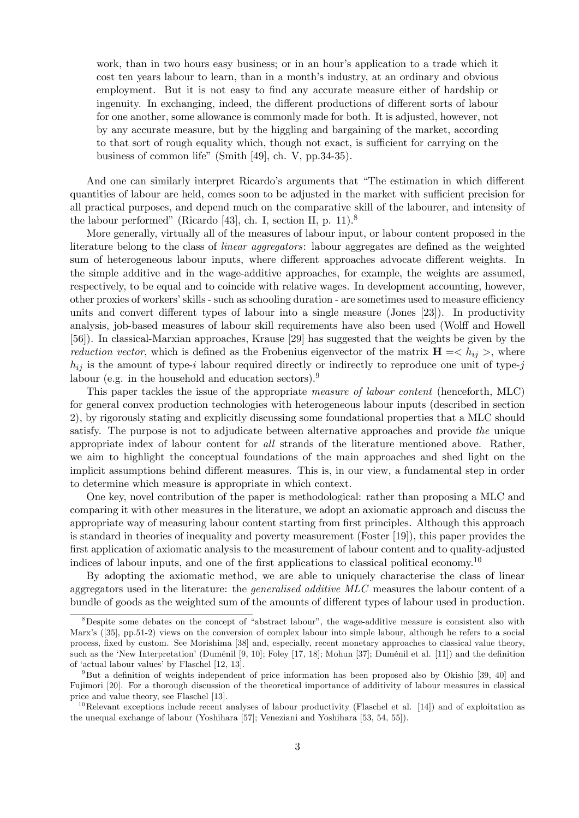work, than in two hours easy business; or in an hour's application to a trade which it cost ten years labour to learn, than in a month's industry, at an ordinary and obvious employment. But it is not easy to find any accurate measure either of hardship or ingenuity. In exchanging, indeed, the different productions of different sorts of labour for one another, some allowance is commonly made for both. It is adjusted, however, not by any accurate measure, but by the higgling and bargaining of the market, according to that sort of rough equality which, though not exact, is sufficient for carrying on the business of common life" (Smith [49], ch. V, pp.34-35).

And one can similarly interpret Ricardo's arguments that "The estimation in which different quantities of labour are held, comes soon to be adjusted in the market with sufficient precision for all practical purposes, and depend much on the comparative skill of the labourer, and intensity of the labour performed" (Ricardo [43], ch. I, section II, p. 11).<sup>8</sup>

More generally, virtually all of the measures of labour input, or labour content proposed in the literature belong to the class of *linear aggregators*: labour aggregates are defined as the weighted sum of heterogeneous labour inputs, where different approaches advocate different weights. In the simple additive and in the wage-additive approaches, for example, the weights are assumed, respectively, to be equal and to coincide with relative wages. In development accounting, however, other proxies of workers' skills - such as schooling duration - are sometimes used to measure efficiency units and convert different types of labour into a single measure (Jones [23]). In productivity analysis, job-based measures of labour skill requirements have also been used (Wolff and Howell [56]). In classical-Marxian approaches, Krause [29] has suggested that the weights be given by the reduction vector, which is defined as the Frobenius eigenvector of the matrix  $H = \langle h_{ij} \rangle$ , where  $h_{ij}$  is the amount of type-i labour required directly or indirectly to reproduce one unit of type-j labour (e.g. in the household and education sectors).9

This paper tackles the issue of the appropriate measure of labour content (henceforth, MLC) for general convex production technologies with heterogeneous labour inputs (described in section 2), by rigorously stating and explicitly discussing some foundational properties that a MLC should satisfy. The purpose is not to adjudicate between alternative approaches and provide the unique appropriate index of labour content for all strands of the literature mentioned above. Rather, we aim to highlight the conceptual foundations of the main approaches and shed light on the implicit assumptions behind different measures. This is, in our view, a fundamental step in order to determine which measure is appropriate in which context.

One key, novel contribution of the paper is methodological: rather than proposing a MLC and comparing it with other measures in the literature, we adopt an axiomatic approach and discuss the appropriate way of measuring labour content starting from first principles. Although this approach is standard in theories of inequality and poverty measurement (Foster [19]), this paper provides the first application of axiomatic analysis to the measurement of labour content and to quality-adjusted indices of labour inputs, and one of the first applications to classical political economy.<sup>10</sup>

By adopting the axiomatic method, we are able to uniquely characterise the class of linear aggregators used in the literature: the generalised additive MLC measures the labour content of a bundle of goods as the weighted sum of the amounts of different types of labour used in production.

<sup>8</sup>Despite some debates on the concept of "abstract labour", the wage-additive measure is consistent also with Marx's ([35], pp.51-2) views on the conversion of complex labour into simple labour, although he refers to a social process, fixed by custom. See Morishima [38] and, especially, recent monetary approaches to classical value theory, such as the 'New Interpretation' (Duménil [9, 10]; Foley [17, 18]; Mohun [37]; Duménil et al. [11]) and the definition of 'actual labour values' by Flaschel [12, 13].

<sup>&</sup>lt;sup>9</sup>But a definition of weights independent of price information has been proposed also by Okishio [39, 40] and Fujimori [20]. For a thorough discussion of the theoretical importance of additivity of labour measures in classical price and value theory, see Flaschel [13].

 $10$ Relevant exceptions include recent analyses of labour productivity (Flaschel et al. [14]) and of exploitation as the unequal exchange of labour (Yoshihara [57]; Veneziani and Yoshihara [53, 54, 55]).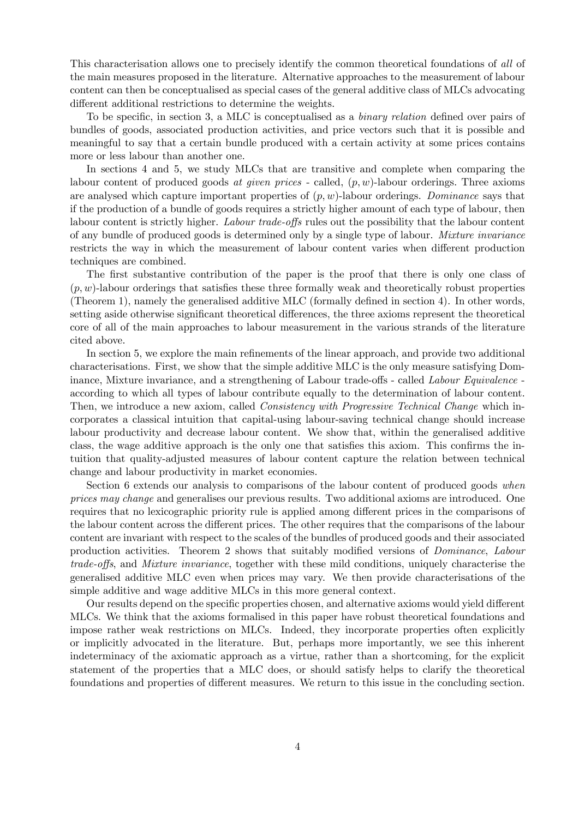This characterisation allows one to precisely identify the common theoretical foundations of all of the main measures proposed in the literature. Alternative approaches to the measurement of labour content can then be conceptualised as special cases of the general additive class of MLCs advocating different additional restrictions to determine the weights.

To be specific, in section 3, a MLC is conceptualised as a binary relation defined over pairs of bundles of goods, associated production activities, and price vectors such that it is possible and meaningful to say that a certain bundle produced with a certain activity at some prices contains more or less labour than another one.

In sections 4 and 5, we study MLCs that are transitive and complete when comparing the labour content of produced goods at given prices - called,  $(p, w)$ -labour orderings. Three axioms are analysed which capture important properties of  $(p, w)$ -labour orderings. Dominance says that if the production of a bundle of goods requires a strictly higher amount of each type of labour, then labour content is strictly higher. Labour trade-offs rules out the possibility that the labour content of any bundle of produced goods is determined only by a single type of labour. Mixture invariance restricts the way in which the measurement of labour content varies when different production techniques are combined.

The first substantive contribution of the paper is the proof that there is only one class of  $(p, w)$ -labour orderings that satisfies these three formally weak and theoretically robust properties (Theorem 1), namely the generalised additive MLC (formally defined in section 4). In other words, setting aside otherwise significant theoretical differences, the three axioms represent the theoretical core of all of the main approaches to labour measurement in the various strands of the literature cited above.

In section 5, we explore the main refinements of the linear approach, and provide two additional characterisations. First, we show that the simple additive MLC is the only measure satisfying Dominance, Mixture invariance, and a strengthening of Labour trade-offs - called Labour Equivalence according to which all types of labour contribute equally to the determination of labour content. Then, we introduce a new axiom, called *Consistency with Progressive Technical Change* which incorporates a classical intuition that capital-using labour-saving technical change should increase labour productivity and decrease labour content. We show that, within the generalised additive class, the wage additive approach is the only one that satisfies this axiom. This confirms the intuition that quality-adjusted measures of labour content capture the relation between technical change and labour productivity in market economies.

Section 6 extends our analysis to comparisons of the labour content of produced goods when prices may change and generalises our previous results. Two additional axioms are introduced. One requires that no lexicographic priority rule is applied among different prices in the comparisons of the labour content across the different prices. The other requires that the comparisons of the labour content are invariant with respect to the scales of the bundles of produced goods and their associated production activities. Theorem 2 shows that suitably modified versions of Dominance, Labour trade-offs, and Mixture invariance, together with these mild conditions, uniquely characterise the generalised additive MLC even when prices may vary. We then provide characterisations of the simple additive and wage additive MLCs in this more general context.

Our results depend on the specific properties chosen, and alternative axioms would yield different MLCs. We think that the axioms formalised in this paper have robust theoretical foundations and impose rather weak restrictions on MLCs. Indeed, they incorporate properties often explicitly or implicitly advocated in the literature. But, perhaps more importantly, we see this inherent indeterminacy of the axiomatic approach as a virtue, rather than a shortcoming, for the explicit statement of the properties that a MLC does, or should satisfy helps to clarify the theoretical foundations and properties of different measures. We return to this issue in the concluding section.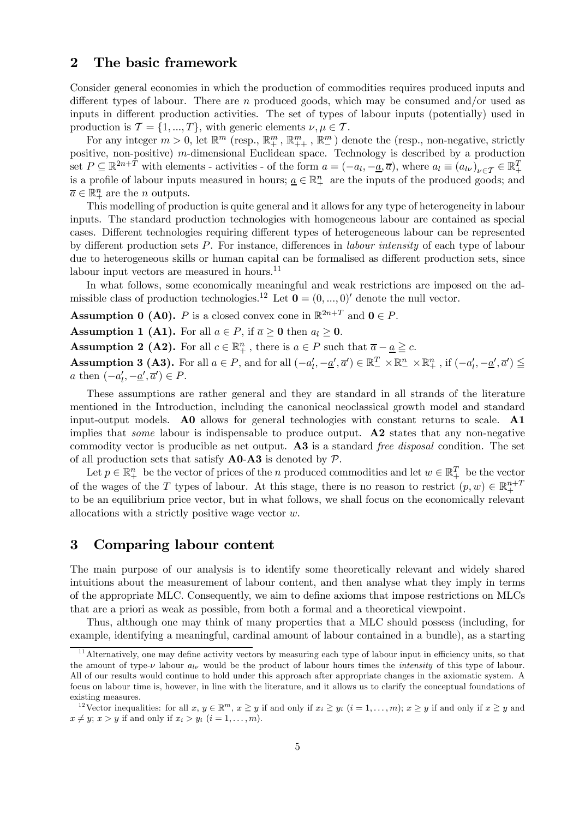#### 2 The basic framework

Consider general economies in which the production of commodities requires produced inputs and different types of labour. There are n produced goods, which may be consumed and/or used as inputs in different production activities. The set of types of labour inputs (potentially) used in production is  $\mathcal{T} = \{1, ..., T\}$ , with generic elements  $\nu, \mu \in \mathcal{T}$ .

For any integer  $m > 0$ , let  $\mathbb{R}^m$  (resp.,  $\mathbb{R}^m_+$ ,  $\mathbb{R}^m_+$ ,  $\mathbb{R}^m_-$ ) denote the (resp., non-negative, strictly positive, non-positive) m-dimensional Euclidean space. Technology is described by a production set  $P \subseteq \mathbb{R}^{2n+T}$  with elements - activities - of the form  $a = (-a_l, -\underline{a}, \overline{a})$ , where  $a_l \equiv (a_{l\nu})_{\nu \in \mathcal{T}} \in \mathbb{R}^T_+$ is a profile of labour inputs measured in hours;  $\underline{a} \in \mathbb{R}^n_+$  are the inputs of the produced goods; and  $\overline{a} \in \mathbb{R}^n_+$  are the *n* outputs.

This modelling of production is quite general and it allows for any type of heterogeneity in labour inputs. The standard production technologies with homogeneous labour are contained as special cases. Different technologies requiring different types of heterogeneous labour can be represented by different production sets P. For instance, differences in labour intensity of each type of labour due to heterogeneous skills or human capital can be formalised as different production sets, since labour input vectors are measured in hours. $^{11}$ 

In what follows, some economically meaningful and weak restrictions are imposed on the admissible class of production technologies.<sup>12</sup> Let  $\mathbf{0} = (0, ..., 0)$  denote the null vector.

**Assumption 0 (A0).** P is a closed convex cone in  $\mathbb{R}^{2n+T}$  and  $0 \in P$ .

**Assumption 1 (A1).** For all  $a \in P$ , if  $\overline{a} \ge 0$  then  $a_l \ge 0$ .

**Assumption 2 (A2).** For all  $c \in \mathbb{R}^n_+$ , there is  $a \in P$  such that  $\overline{a} - \underline{a} \geq c$ . Assumption 3 (A3). For all  $a \in P$ , and for all  $(-a'_l, -\underline{a}', \overline{a}') \in \mathbb{R}_+^T \times \mathbb{R}_+^n \times \mathbb{R}_+^n$ , if  $(-a'_l, -\underline{a}', \overline{a}') \le$ *a* then  $(-a'_l, -\underline{a}', \overline{a}') \in P$ .

These assumptions are rather general and they are standard in all strands of the literature mentioned in the Introduction, including the canonical neoclassical growth model and standard input-output models. A0 allows for general technologies with constant returns to scale. A1 implies that *some* labour is indispensable to produce output.  $\mathbf{A2}$  states that any non-negative commodity vector is producible as net output. A3 is a standard free disposal condition. The set of all production sets that satisfy  $\bf{A0-A3}$  is denoted by  $\mathcal{P}$ .

Let  $p \in \mathbb{R}_+^n$  be the vector of prices of the n produced commodities and let  $w \in \mathbb{R}_+^T$  be the vector of the wages of the T types of labour. At this stage, there is no reason to restrict  $(p, w) \in \mathbb{R}^{n+1}_+$ to be an equilibrium price vector, but in what follows, we shall focus on the economically relevant allocations with a strictly positive wage vector w.

#### 3 Comparing labour content

The main purpose of our analysis is to identify some theoretically relevant and widely shared intuitions about the measurement of labour content, and then analyse what they imply in terms of the appropriate MLC. Consequently, we aim to define axioms that impose restrictions on MLCs that are a priori as weak as possible, from both a formal and a theoretical viewpoint.

Thus, although one may think of many properties that a MLC should possess (including, for example, identifying a meaningful, cardinal amount of labour contained in a bundle), as a starting

 $11$  Alternatively, one may define activity vectors by measuring each type of labour input in efficiency units, so that the amount of type- $\nu$  labour  $a_{l\nu}$  would be the product of labour hours times the *intensity* of this type of labour. All of our results would continue to hold under this approach after appropriate changes in the axiomatic system. A focus on labour time is, however, in line with the literature, and it allows us to clarify the conceptual foundations of existing measures.

<sup>&</sup>lt;sup>12</sup> Vector inequalities: for all  $x, y \in \mathbb{R}^m$ ,  $x \ge y$  if and only if  $x_i \ge y_i$   $(i = 1, \ldots, m)$ ;  $x \ge y$  if and only if  $x \ge y$  and  $x \neq y$ ;  $x > y$  if and only if  $x_i > y_i$   $(i = 1, \ldots, m)$ .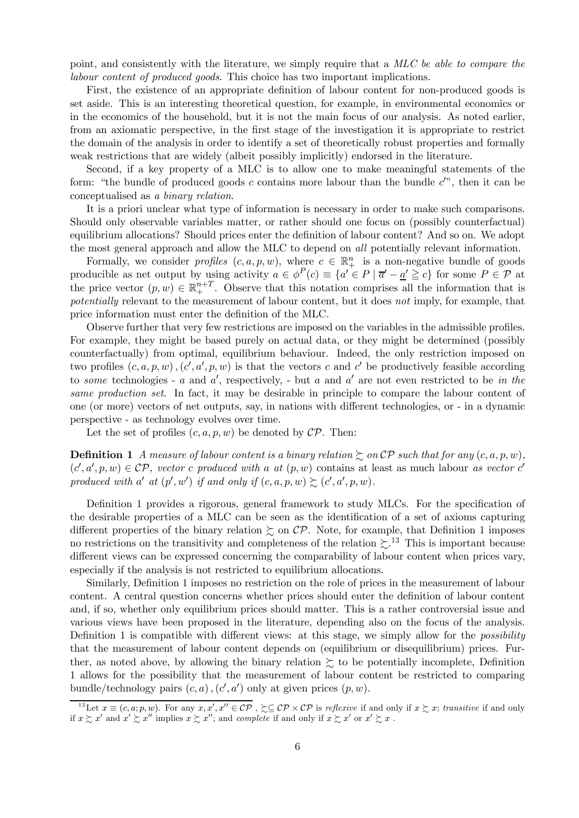point, and consistently with the literature, we simply require that a MLC be able to compare the labour content of produced goods. This choice has two important implications.

First, the existence of an appropriate definition of labour content for non-produced goods is set aside. This is an interesting theoretical question, for example, in environmental economics or in the economics of the household, but it is not the main focus of our analysis. As noted earlier, from an axiomatic perspective, in the first stage of the investigation it is appropriate to restrict the domain of the analysis in order to identify a set of theoretically robust properties and formally weak restrictions that are widely (albeit possibly implicitly) endorsed in the literature.

Second, if a key property of a MLC is to allow one to make meaningful statements of the form: "the bundle of produced goods  $c$  contains more labour than the bundle  $c''$ , then it can be conceptualised as a binary relation.

It is a priori unclear what type of information is necessary in order to make such comparisons. Should only observable variables matter, or rather should one focus on (possibly counterfactual) equilibrium allocations? Should prices enter the definition of labour content? And so on. We adopt the most general approach and allow the MLC to depend on all potentially relevant information.

Formally, we consider *profiles*  $(c, a, p, w)$ , where  $c \in \mathbb{R}^n_+$  is a non-negative bundle of goods producible as net output by using activity  $a \in \phi^P(c) \equiv \{a' \in P \mid \overline{a'} - \underline{a'} \geq c\}$  for some  $P \in \mathcal{P}$  at the price vector  $(p, w) \in \mathbb{R}^{n+T}_+$ . Observe that this notation comprises all the information that is potentially relevant to the measurement of labour content, but it does not imply, for example, that price information must enter the definition of the MLC.

Observe further that very few restrictions are imposed on the variables in the admissible profiles. For example, they might be based purely on actual data, or they might be determined (possibly counterfactually) from optimal, equilibrium behaviour. Indeed, the only restriction imposed on two profiles  $(c, a, p, w)$ ,  $(c', a', p, w)$  is that the vectors c and c' be productively feasible according to some technologies - a and a', respectively, - but a and a' are not even restricted to be in the same production set. In fact, it may be desirable in principle to compare the labour content of one (or more) vectors of net outputs, say, in nations with different technologies, or - in a dynamic perspective - as technology evolves over time.

Let the set of profiles  $(c, a, p, w)$  be denoted by  $\mathcal{CP}$ . Then:

**Definition 1** A measure of labour content is a binary relation  $\geq$  on CP such that for any  $(c, a, p, w)$ ,  $(c', a', p, w) \in \mathcal{CP}$ , vector c produced with a at  $(p, w)$  contains at least as much labour as vector c' produced with a' at  $(p', w')$  if and only if  $(c, a, p, w) \succsim (c', a', p, w)$ .

Definition 1 provides a rigorous, general framework to study MLCs. For the specification of the desirable properties of a MLC can be seen as the identification of a set of axioms capturing different properties of the binary relation  $\gtrsim$  on CP. Note, for example, that Definition 1 imposes no restrictions on the transitivity and completeness of the relation  $\gtrsim$ .<sup>13</sup> This is important because different views can be expressed concerning the comparability of labour content when prices vary, especially if the analysis is not restricted to equilibrium allocations.

Similarly, Definition 1 imposes no restriction on the role of prices in the measurement of labour content. A central question concerns whether prices should enter the definition of labour content and, if so, whether only equilibrium prices should matter. This is a rather controversial issue and various views have been proposed in the literature, depending also on the focus of the analysis. Definition 1 is compatible with different views: at this stage, we simply allow for the *possibility* that the measurement of labour content depends on (equilibrium or disequilibrium) prices. Further, as noted above, by allowing the binary relation  $\succeq$  to be potentially incomplete, Definition 1 allows for the possibility that the measurement of labour content be restricted to comparing bundle/technology pairs  $(c, a)$ ,  $(c', a')$  only at given prices  $(p, w)$ .

<sup>&</sup>lt;sup>13</sup>Let  $x \equiv (c, a; p, w)$ . For any  $x, x', x'' \in \mathcal{CP}$ ,  $\succsim \subseteq \mathcal{CP} \times \mathcal{CP}$  is reflexive if and only if  $x \succsim x$ ; transitive if and only if  $x \gtrsim x'$  and  $x' \gtrsim x''$  implies  $x \gtrsim x''$ ; and *complete* if and only if  $x \gtrsim x'$  or  $x' \gtrsim x$ .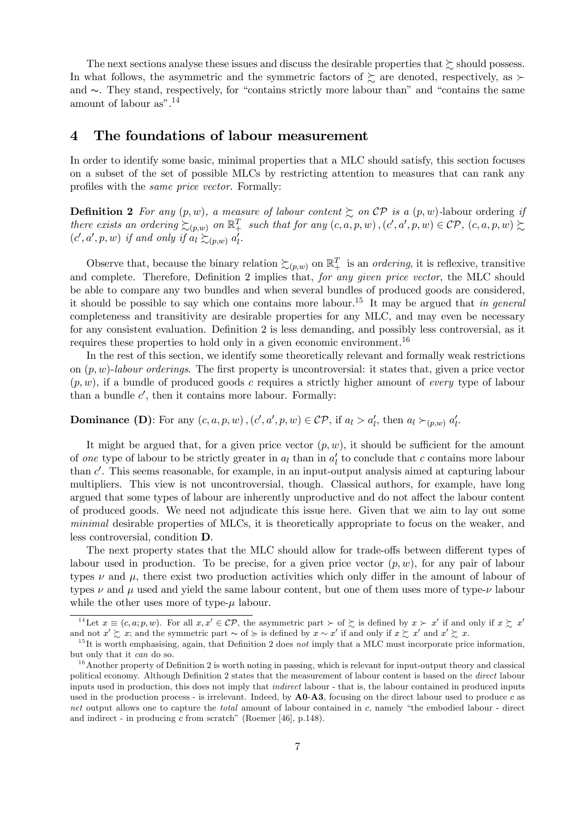The next sections analyse these issues and discuss the desirable properties that  $\succeq$  should possess. In what follows, the asymmetric and the symmetric factors of  $\succeq$  are denoted, respectively, as  $\succ$ and ∼. They stand, respectively, for "contains strictly more labour than" and "contains the same amount of labour as".<sup>14</sup>

#### 4 The foundations of labour measurement

In order to identify some basic, minimal properties that a MLC should satisfy, this section focuses on a subset of the set of possible MLCs by restricting attention to measures that can rank any profiles with the same price vector. Formally:

**Definition 2** For any  $(p, w)$ , a measure of labour content  $\succsim$  on  $\mathcal{CP}$  is a  $(p, w)$ -labour ordering if there exists an ordering  $\succsim_{(p,w)}$  on  $\mathbb{R}^T_+$  such that for any  $(c, a, p, w)$ ,  $(c', a', p, w) \in \mathcal{CP}$ ,  $(c, a, p, w) \succsim$  $(c', a', p, w)$  if and only if  $a_l \succsim_{(p, w)} a'_l$ .

Observe that, because the binary relation  $\succsim_{(p,w)}$  on  $\mathbb{R}^T_+$  is an *ordering*, it is reflexive, transitive and complete. Therefore, Definition 2 implies that, for any given price vector, the MLC should be able to compare any two bundles and when several bundles of produced goods are considered, it should be possible to say which one contains more labour.<sup>15</sup> It may be argued that in general completeness and transitivity are desirable properties for any MLC, and may even be necessary for any consistent evaluation. Definition 2 is less demanding, and possibly less controversial, as it requires these properties to hold only in a given economic environment.<sup>16</sup>

In the rest of this section, we identify some theoretically relevant and formally weak restrictions on  $(p, w)$ -labour orderings. The first property is uncontroversial: it states that, given a price vector  $(p, w)$ , if a bundle of produced goods c requires a strictly higher amount of every type of labour than a bundle  $c'$ , then it contains more labour. Formally:

#### **Dominance** (**D**): For any  $(c, a, p, w)$ ,  $(c', a', p, w) \in \mathcal{CP}$ , if  $a_l > a'_l$ , then  $a_l \succ_{(p,w)} a'_l$ .

It might be argued that, for a given price vector  $(p, w)$ , it should be sufficient for the amount of one type of labour to be strictly greater in  $a_l$  than in  $a'_l$  to conclude that c contains more labour than  $c'$ . This seems reasonable, for example, in an input-output analysis aimed at capturing labour multipliers. This view is not uncontroversial, though. Classical authors, for example, have long argued that some types of labour are inherently unproductive and do not affect the labour content of produced goods. We need not adjudicate this issue here. Given that we aim to lay out some minimal desirable properties of MLCs, it is theoretically appropriate to focus on the weaker, and less controversial, condition D.

The next property states that the MLC should allow for trade-offs between different types of labour used in production. To be precise, for a given price vector  $(p, w)$ , for any pair of labour types  $\nu$  and  $\mu$ , there exist two production activities which only differ in the amount of labour of types  $\nu$  and  $\mu$  used and yield the same labour content, but one of them uses more of type- $\nu$  labour while the other uses more of type- $\mu$  labour.

<sup>&</sup>lt;sup>14</sup>Let  $x \equiv (c, a; p, w)$ . For all  $x, x' \in \mathcal{CP}$ , the asymmetric part  $\succ$  of  $\succsim$  is defined by  $x \succ x'$  if and only if  $x \succsim x'$  if and only if  $x \succsim x'$  and  $x' \succsim x$ ; and the symmetric part  $\sim$  of  $\succcurlyeq$  is defined by  $x$ 

 $15$ It is worth emphasising, again, that Definition 2 does not imply that a MLC must incorporate price information, but only that it can do so.

 $16$ Another property of Definition 2 is worth noting in passing, which is relevant for input-output theory and classical political economy. Although Definition 2 states that the measurement of labour content is based on the direct labour inputs used in production, this does not imply that indirect labour - that is, the labour contained in produced inputs used in the production process - is irrelevant. Indeed, by  $\bf{A0-A3}$ , focusing on the direct labour used to produce c as net output allows one to capture the *total* amount of labour contained in c, namely "the embodied labour - direct and indirect - in producing  $c$  from scratch" (Roemer [46], p.148).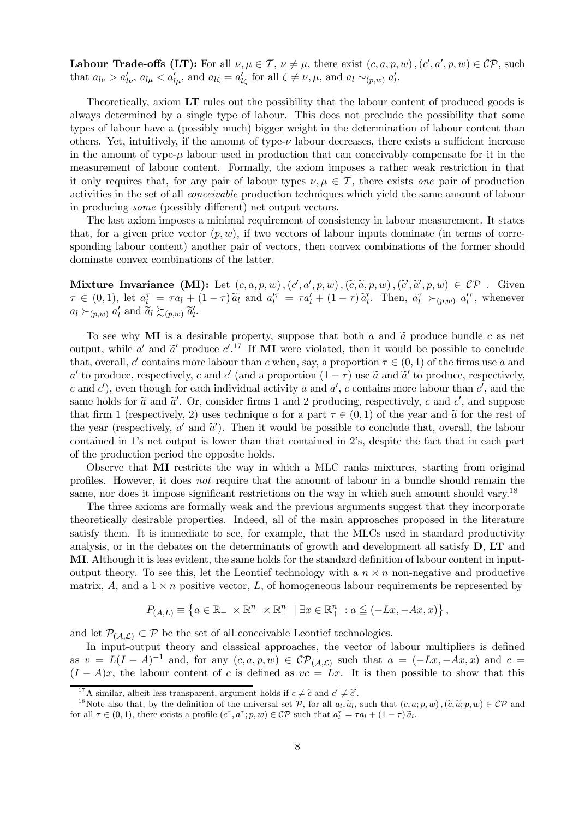**Labour Trade-offs (LT):** For all  $\nu, \mu \in \mathcal{T}$ ,  $\nu \neq \mu$ , there exist  $(c, a, p, w)$ ,  $(c', a', p, w) \in \mathcal{CP}$ , such that  $a_{l\nu} > a'_{l\nu}$ ,  $a_{l\mu} < a'_{l\mu}$ , and  $a_{l\zeta} = a'_{l\zeta}$  for all  $\zeta \neq \nu, \mu$ , and  $a_l \sim_{(p,w)} a'_{l\cdot}$ .

Theoretically, axiom LT rules out the possibility that the labour content of produced goods is always determined by a single type of labour. This does not preclude the possibility that some types of labour have a (possibly much) bigger weight in the determination of labour content than others. Yet, intuitively, if the amount of type-ν labour decreases, there exists a sufficient increase in the amount of type- $\mu$  labour used in production that can conceivably compensate for it in the measurement of labour content. Formally, the axiom imposes a rather weak restriction in that it only requires that, for any pair of labour types  $\nu, \mu \in \mathcal{T}$ , there exists one pair of production activities in the set of all conceivable production techniques which yield the same amount of labour in producing some (possibly different) net output vectors.

The last axiom imposes a minimal requirement of consistency in labour measurement. It states that, for a given price vector  $(p, w)$ , if two vectors of labour inputs dominate (in terms of corresponding labour content) another pair of vectors, then convex combinations of the former should dominate convex combinations of the latter.

Mixture Invariance  $(MI)$ : Let  $(c, a, p, w)$ ,  $(c', a', p, w)$ ,  $(\tilde{c}, \tilde{a}, p, w)$ ,  $(\tilde{c}', \tilde{a}', p, w) \in \mathcal{CP}$ . Given  $\tau \in (0,1)$ , let  $a_l^{\tau} = \tau a_l + (1-\tau) \tilde{a}_l$  and  $a_l^{\prime \tau} = \tau a_l^{\prime} + (1-\tau) \tilde{a}_l^{\prime}$ . Then,  $a_l^{\tau} \succ_{(p,w)} a_l^{\prime \tau}$ , whenever  $a_l \succ_{(p,w)} a'_l$  and  $\widetilde{a}_l \succsim_{(p,w)} \widetilde{a}'_l$ .

To see why MI is a desirable property, suppose that both a and  $\tilde{a}$  produce bundle c as net output, while a' and  $\tilde{a}'$  produce  $c'$ .<sup>17</sup> If **MI** were violated, then it would be possible to conclude that, overall, c' contains more labour than c when, say, a proportion  $\tau \in (0,1)$  of the firms use a and a' to produce, respectively, c and c' (and a proportion  $(1 - \tau)$  use  $\tilde{a}$  and  $\tilde{a}'$  to produce, respectively, c and c'), even though for each individual activity a and  $a'$ , c contains more labour than c', and the same holds for  $\tilde{a}$  and  $\tilde{a}'$ . Or, consider firms 1 and 2 producing, respectively, c and c', and suppose that firm 1 (respectively, 2) uses technique a for a part  $\tau \in (0,1)$  of the year and  $\tilde{a}$  for the rest of the year (respectively,  $a'$  and  $\tilde{a}'$ ). Then it would be possible to conclude that, overall, the labour contained in 1's net output is lower than that contained in 2's, despite the fact that in each part of the production period the opposite holds.

Observe that MI restricts the way in which a MLC ranks mixtures, starting from original profiles. However, it does not require that the amount of labour in a bundle should remain the same, nor does it impose significant restrictions on the way in which such amount should vary.<sup>18</sup>

The three axioms are formally weak and the previous arguments suggest that they incorporate theoretically desirable properties. Indeed, all of the main approaches proposed in the literature satisfy them. It is immediate to see, for example, that the MLCs used in standard productivity analysis, or in the debates on the determinants of growth and development all satisfy D, LT and MI. Although it is less evident, the same holds for the standard definition of labour content in inputoutput theory. To see this, let the Leontief technology with a  $n \times n$  non-negative and productive matrix, A, and a  $1 \times n$  positive vector, L, of homogeneous labour requirements be represented by

$$
P_{(A,L)} \equiv \left\{ a \in \mathbb{R}_- \times \mathbb{R}_-^n \times \mathbb{R}_+^n \mid \exists x \in \mathbb{R}_+^n : a \leq (-Lx, -Ax, x) \right\},\,
$$

and let  $\mathcal{P}_{(A,\mathcal{L})} \subset \mathcal{P}$  be the set of all conceivable Leontief technologies.

In input-output theory and classical approaches, the vector of labour multipliers is defined as  $v = L(I - A)^{-1}$  and, for any  $(c, a, p, w) \in \mathcal{CP}_{(A, \mathcal{L})}$  such that  $a = (-Lx, -Ax, x)$  and  $c =$  $(I - A)x$ , the labour content of c is defined as  $vc = Lx$ . It is then possible to show that this

<sup>&</sup>lt;sup>17</sup>A similar, albeit less transparent, argument holds if  $c \neq \tilde{c}$  and  $c' \neq \tilde{c}'$ .

<sup>&</sup>lt;sup>18</sup>Note also that, by the definition of the universal set  $\mathcal{P}$ , for all  $a_i, \tilde{a}_i$ , such that  $(c, a; p, w)$ ,  $(\tilde{c}, \tilde{a}; p, w) \in \mathcal{CP}$  and for all  $\tau \in (0, 1)$ , there exists a profile  $(c^{\tau}, a^{\tau}; p, w) \in \mathcal{CP}$  such that  $a_i^{\tau} = \tau a_i + (1 - \tau) \tilde{a}_i$ .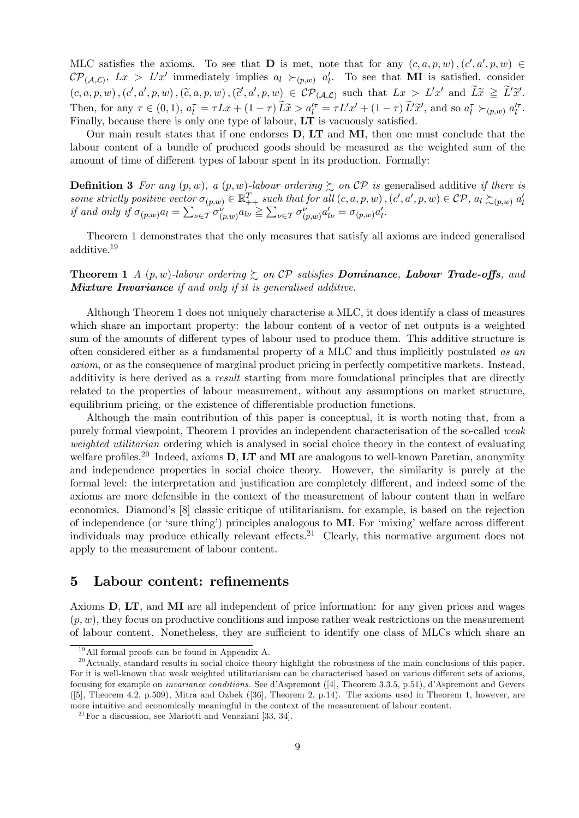MLC satisfies the axioms. To see that **D** is met, note that for any  $(c, a, p, w)$ ,  $(c', a', p, w) \in$  $\mathcal{CP}_{(\mathcal{A},\mathcal{L})}, Lx > L'x'$  immediately implies  $a_l \succ_{(p,w)} a'_l$ . To see that **MI** is satisfied, consider  $(c, a, p, w), (c', a', p, w), (\tilde{c}, a, p, w), (\tilde{c}', a', p, w) \in \mathcal{CP}_{(\mathcal{A}, \mathcal{L})}$  such that  $Lx > L'x'$  and  $L\tilde{x} \geq L'\tilde{x}'$ . Then, for any  $\tau \in (0,1)$ ,  $a_l^{\tau} = \tau Lx + (1-\tau)\tilde{L}\tilde{x} > a_l^{\prime \tau} = \tau L'x' + (1-\tau)\tilde{L}'\tilde{x}'$ , and so  $a_l^{\tau} >_{(p,w)} a_l^{\prime \tau}$ . Finally, because there is only one type of labour, LT is vacuously satisfied.

Our main result states that if one endorses D, LT and MI, then one must conclude that the labour content of a bundle of produced goods should be measured as the weighted sum of the amount of time of different types of labour spent in its production. Formally:

**Definition 3** For any  $(p, w)$ , a  $(p, w)$ -labour ordering  $\succsim$  on  $\mathcal{CP}$  is generalised additive if there is some strictly positive vector  $\sigma_{(p,w)} \in \mathbb{R}_{++}^T$  such that for all  $(c, a, p, w)$ ,  $(c', a', p, w) \in \mathcal{CP}$ ,  $a_l \succsim_{(p,w)} a'_l$ <br>if and only if  $\sigma_{(p,w)} a_l = \sum_{\nu \in \mathcal{T}} \sigma_{(p,w)}^{\nu} a_{l\nu} \geq \sum_{\nu \in \mathcal{T}} \sigma_{(p,w)}^{\nu} a'_{l\nu} = \sigma_{(p,w)} a'_l$ .

Theorem 1 demonstrates that the only measures that satisfy all axioms are indeed generalised additive.<sup>19</sup>

**Theorem 1** A  $(p, w)$ -labour ordering  $\geq$  on  $\mathcal{CP}$  satisfies **Dominance**, **Labour Trade-offs**, and **Mixture Invariance** if and only if it is generalised additive.

Although Theorem 1 does not uniquely characterise a MLC, it does identify a class of measures which share an important property: the labour content of a vector of net outputs is a weighted sum of the amounts of different types of labour used to produce them. This additive structure is often considered either as a fundamental property of a MLC and thus implicitly postulated as an axiom, or as the consequence of marginal product pricing in perfectly competitive markets. Instead, additivity is here derived as a result starting from more foundational principles that are directly related to the properties of labour measurement, without any assumptions on market structure, equilibrium pricing, or the existence of differentiable production functions.

Although the main contribution of this paper is conceptual, it is worth noting that, from a purely formal viewpoint, Theorem 1 provides an independent characterisation of the so-called weak weighted utilitarian ordering which is analysed in social choice theory in the context of evaluating welfare profiles.<sup>20</sup> Indeed, axioms  $D$ , LT and MI are analogous to well-known Paretian, anonymity and independence properties in social choice theory. However, the similarity is purely at the formal level: the interpretation and justification are completely different, and indeed some of the axioms are more defensible in the context of the measurement of labour content than in welfare economics. Diamond's [8] classic critique of utilitarianism, for example, is based on the rejection of independence (or 'sure thing') principles analogous to MI. For 'mixing' welfare across different individuals may produce ethically relevant effects.<sup>21</sup> Clearly, this normative argument does not apply to the measurement of labour content.

#### 5 Labour content: refinements

Axioms D, LT, and MI are all independent of price information: for any given prices and wages  $(p, w)$ , they focus on productive conditions and impose rather weak restrictions on the measurement of labour content. Nonetheless, they are sufficient to identify one class of MLCs which share an

 $19$ All formal proofs can be found in Appendix A.

 $^{20}$  Actually, standard results in social choice theory highlight the robustness of the main conclusions of this paper. For it is well-known that weak weighted utilitarianism can be characterised based on various different sets of axioms, focusing for example on invariance conditions. See d'Aspremont ([4], Theorem 3.3.5, p.51), d'Aspremont and Gevers ([5], Theorem 4.2, p.509), Mitra and Ozbek ([36], Theorem 2, p.14). The axioms used in Theorem 1, however, are more intuitive and economically meaningful in the context of the measurement of labour content.

 $21$  For a discussion, see Mariotti and Veneziani [33, 34].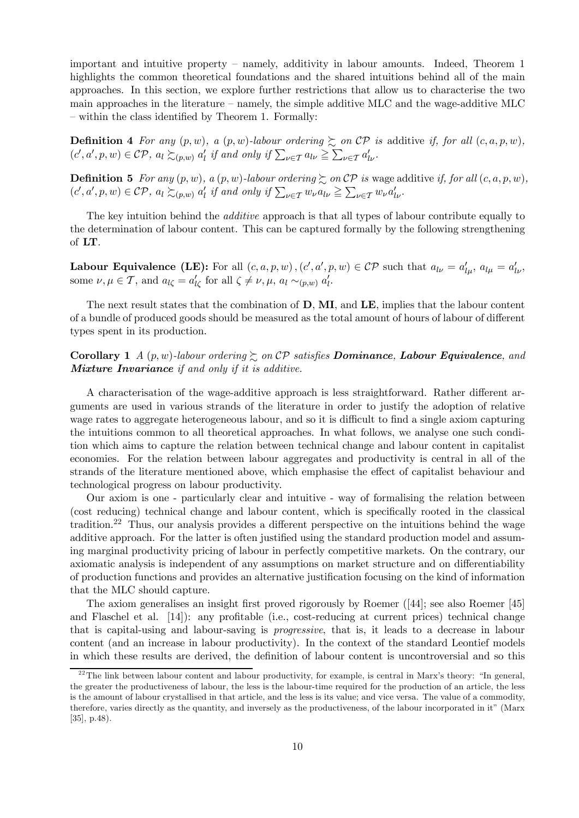important and intuitive property — namely, additivity in labour amounts. Indeed, Theorem 1 highlights the common theoretical foundations and the shared intuitions behind all of the main approaches. In this section, we explore further restrictions that allow us to characterise the two main approaches in the literature — namely, the simple additive MLC and the wage-additive MLC — within the class identified by Theorem 1. Formally:

**Definition 4** For any  $(p, w)$ , a  $(p, w)$ -labour ordering  $\succsim$  on  $\mathcal{CP}$  is additive if, for all  $(c, a, p, w)$ ,  $(c', a', p, w) \in \mathcal{CP}$ ,  $a_l \succsim_{(p,w)} a'_l$  if and only if  $\sum_{v \in \mathcal{T}} a_{lv} \geq \sum_{v \in \mathcal{T}} a'_{lv}$ .

**Definition 5** For any  $(p, w)$ , a  $(p, w)$ -labour ordering  $\geq$  on CP is wage additive if, for all  $(c, a, p, w)$ ,  $(c', a', p, w) \in \mathcal{CP}$ ,  $a_l \succsim_{(p,w)} a'_l$  if and only if  $\sum_{\nu \in \mathcal{T}} w_{\nu} a_{l\nu} \geq \sum_{\nu \in \mathcal{T}} w_{\nu} a'_{l\nu}$ .

The key intuition behind the *additive* approach is that all types of labour contribute equally to the determination of labour content. This can be captured formally by the following strengthening of LT.

**Labour Equivalence (LE):** For all  $(c, a, p, w)$ ,  $(c', a', p, w) \in \mathcal{CP}$  such that  $a_{l\nu} = a'_{l\mu}$ ,  $a_{l\mu} = a'_{l\nu}$ , some  $\nu, \mu \in \mathcal{T}$ , and  $a_{l\zeta} = a'_{l\zeta}$  for all  $\zeta \neq \nu, \mu, a_{l} \sim_{(p,w)} a'_{l}$ .

The next result states that the combination of  $D$ , MI, and  $LE$ , implies that the labour content of a bundle of produced goods should be measured as the total amount of hours of labour of different types spent in its production.

#### Corollary 1 A  $(p, w)$ -labour ordering  $\gtrsim$  on CP satisfies **Dominance**, **Labour Equivalence**, and Mixture Invariance if and only if it is additive.

A characterisation of the wage-additive approach is less straightforward. Rather different arguments are used in various strands of the literature in order to justify the adoption of relative wage rates to aggregate heterogeneous labour, and so it is difficult to find a single axiom capturing the intuitions common to all theoretical approaches. In what follows, we analyse one such condition which aims to capture the relation between technical change and labour content in capitalist economies. For the relation between labour aggregates and productivity is central in all of the strands of the literature mentioned above, which emphasise the effect of capitalist behaviour and technological progress on labour productivity.

Our axiom is one - particularly clear and intuitive - way of formalising the relation between (cost reducing) technical change and labour content, which is specifically rooted in the classical tradition.<sup>22</sup> Thus, our analysis provides a different perspective on the intuitions behind the wage additive approach. For the latter is often justified using the standard production model and assuming marginal productivity pricing of labour in perfectly competitive markets. On the contrary, our axiomatic analysis is independent of any assumptions on market structure and on differentiability of production functions and provides an alternative justification focusing on the kind of information that the MLC should capture.

The axiom generalises an insight first proved rigorously by Roemer ([44]; see also Roemer [45] and Flaschel et al. [14]): any profitable (i.e., cost-reducing at current prices) technical change that is capital-using and labour-saving is progressive, that is, it leads to a decrease in labour content (and an increase in labour productivity). In the context of the standard Leontief models in which these results are derived, the definition of labour content is uncontroversial and so this

 $22$ <sup>22</sup>The link between labour content and labour productivity, for example, is central in Marx's theory: "In general, the greater the productiveness of labour, the less is the labour-time required for the production of an article, the less is the amount of labour crystallised in that article, and the less is its value; and vice versa. The value of a commodity, therefore, varies directly as the quantity, and inversely as the productiveness, of the labour incorporated in it" (Marx [35], p.48).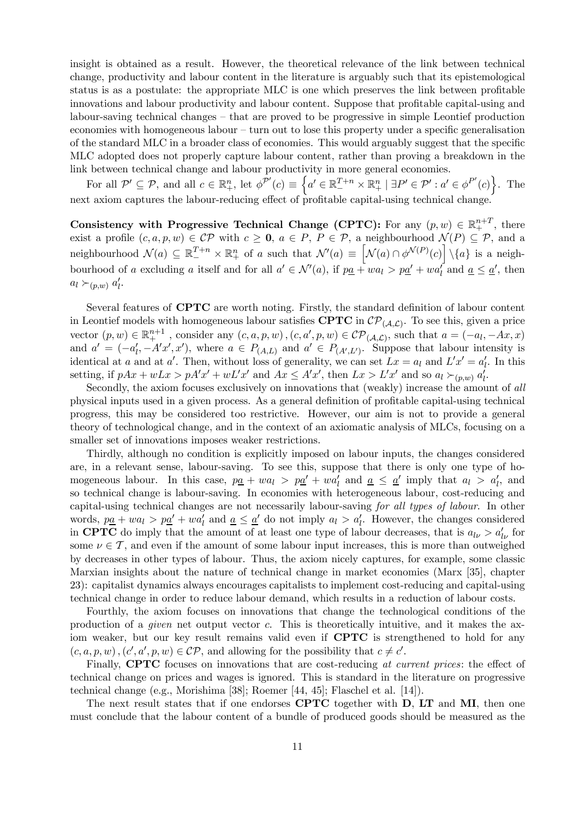insight is obtained as a result. However, the theoretical relevance of the link between technical change, productivity and labour content in the literature is arguably such that its epistemological status is as a postulate: the appropriate MLC is one which preserves the link between profitable innovations and labour productivity and labour content. Suppose that profitable capital-using and labour-saving technical changes — that are proved to be progressive in simple Leontief production economies with homogeneous labour — turn out to lose this property under a specific generalisation of the standard MLC in a broader class of economies. This would arguably suggest that the specific MLC adopted does not properly capture labour content, rather than proving a breakdown in the link between technical change and labour productivity in more general economies.

For all  $\mathcal{P}' \subseteq \mathcal{P}$ , and all  $c \in \mathbb{R}^n_+$ , let  $\phi^{\mathcal{P}'}(c) \equiv \left\{ a' \in \mathbb{R}^{T+n}_- \times \mathbb{R}^n_+ \mid \exists P' \in \mathcal{P}' : a' \in \phi^{P'}(c) \right\}$ . The next axiom captures the labour-reducing effect of profitable capital-using technical change.

Consistency with Progressive Technical Change (CPTC): For any  $(p, w) \in \mathbb{R}^{n+T}_+$ , there exist a profile  $(c, a, p, w) \in \mathcal{CP}$  with  $c \geq 0$ ,  $a \in P$ ,  $P \in \mathcal{P}$ , a neighbourhood  $\mathcal{N}(P) \subseteq \mathcal{P}$ , and a neighbourhood  $\mathcal{N}(a) \subseteq \mathbb{R}^{T+n}_+ \times \mathbb{R}^n_+$  of a such that  $\mathcal{N}'(a) \equiv \left[\mathcal{N}(a) \cap \phi^{\mathcal{N}(P)}(c)\right] \setminus \{a\}$  is a neighbourhood of a excluding a itself and for all  $a' \in \mathcal{N}'(a)$ , if  $p\underline{a} + wa_1 > p\underline{a}' + wa'_1$  and  $\underline{a} \leq \underline{a}'$ , then  $a_l \succ_{(p,w)} a'_l$ .

Several features of CPTC are worth noting. Firstly, the standard definition of labour content in Leontief models with homogeneous labour satisfies CPTC in  $\mathcal{CP}_{(\mathcal{A},\mathcal{L})}$ . To see this, given a price vector  $(p, w) \in \mathbb{R}^{n+1}_+$ , consider any  $(c, a, p, w)$ ,  $(c, a', p, w) \in \mathcal{CP}(\mathcal{A}, \mathcal{L})$ , such that  $a = (-a_l, -Ax, x)$ and  $a' = (-a'_l, -A'x', x')$ , where  $a \in P_{(A,L)}$  and  $a' \in P_{(A',L')}$ . Suppose that labour intensity is identical at a and at a'. Then, without loss of generality, we can set  $Lx = a_l$  and  $L'x' = a'_l$ . In this setting, if  $pAx + wLx > pA'x' + wL'x'$  and  $Ax \leq A'x'$ , then  $Lx > L'x'$  and so  $a_l \succ_{(p,w)} a'_l$ .

Secondly, the axiom focuses exclusively on innovations that (weakly) increase the amount of all physical inputs used in a given process. As a general definition of profitable capital-using technical progress, this may be considered too restrictive. However, our aim is not to provide a general theory of technological change, and in the context of an axiomatic analysis of MLCs, focusing on a smaller set of innovations imposes weaker restrictions.

Thirdly, although no condition is explicitly imposed on labour inputs, the changes considered are, in a relevant sense, labour-saving. To see this, suppose that there is only one type of homogeneous labour. In this case,  $p\underline{a} + wa_l > p\underline{a}' + wa'_l$  and  $\underline{a} \leq \underline{a}'$  imply that  $a_l > a'_l$ , and so technical change is labour-saving. In economies with heterogeneous labour, cost-reducing and capital-using technical changes are not necessarily labour-saving for all types of labour. In other words,  $p\underline{a} + wa_l > p\underline{a}' + wa'_l$  and  $\underline{a} \leq \underline{a}'$  do not imply  $a_l > a'_l$ . However, the changes considered in CPTC do imply that the amount of at least one type of labour decreases, that is  $a_{l\nu} > a_{l\nu}^{\prime}$  for some  $\nu \in \mathcal{T}$ , and even if the amount of some labour input increases, this is more than outweighed by decreases in other types of labour. Thus, the axiom nicely captures, for example, some classic Marxian insights about the nature of technical change in market economies (Marx [35], chapter 23): capitalist dynamics always encourages capitalists to implement cost-reducing and capital-using technical change in order to reduce labour demand, which results in a reduction of labour costs.

Fourthly, the axiom focuses on innovations that change the technological conditions of the production of a *given* net output vector c. This is theoretically intuitive, and it makes the axiom weaker, but our key result remains valid even if **CPTC** is strengthened to hold for any  $(c, a, p, w), (c', a', p, w) \in \mathcal{CP}$ , and allowing for the possibility that  $c \neq c'$ .

Finally, **CPTC** focuses on innovations that are cost-reducing at current prices: the effect of technical change on prices and wages is ignored. This is standard in the literature on progressive technical change (e.g., Morishima [38]; Roemer [44, 45]; Flaschel et al. [14]).

The next result states that if one endorses **CPTC** together with **D**, **LT** and **MI**, then one must conclude that the labour content of a bundle of produced goods should be measured as the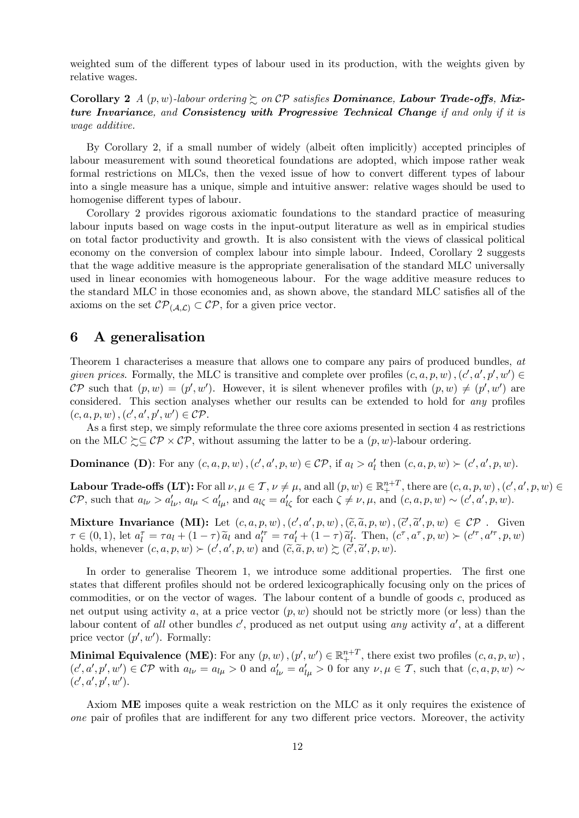weighted sum of the different types of labour used in its production, with the weights given by relative wages.

Corollary 2 A  $(p, w)$ -labour ordering  $\gtrsim$  on CP satisfies Dominance, Labour Trade-offs, Mixture Invariance, and Consistency with Progressive Technical Change if and only if it is wage additive.

By Corollary 2, if a small number of widely (albeit often implicitly) accepted principles of labour measurement with sound theoretical foundations are adopted, which impose rather weak formal restrictions on MLCs, then the vexed issue of how to convert different types of labour into a single measure has a unique, simple and intuitive answer: relative wages should be used to homogenise different types of labour.

Corollary 2 provides rigorous axiomatic foundations to the standard practice of measuring labour inputs based on wage costs in the input-output literature as well as in empirical studies on total factor productivity and growth. It is also consistent with the views of classical political economy on the conversion of complex labour into simple labour. Indeed, Corollary 2 suggests that the wage additive measure is the appropriate generalisation of the standard MLC universally used in linear economies with homogeneous labour. For the wage additive measure reduces to the standard MLC in those economies and, as shown above, the standard MLC satisfies all of the axioms on the set  $\mathcal{CP}_{(\mathcal{A},\mathcal{L})} \subset \mathcal{CP}$ , for a given price vector.

#### 6 A generalisation

Theorem 1 characterises a measure that allows one to compare any pairs of produced bundles, at given prices. Formally, the MLC is transitive and complete over profiles  $(c, a, p, w)$ ,  $(c', a', p', w') \in$ CP such that  $(p, w) = (p', w')$ . However, it is silent whenever profiles with  $(p, w) \neq (p', w')$  are considered. This section analyses whether our results can be extended to hold for any profiles  $(c, a, p, w), (c', a', p', w') \in \mathcal{CP}.$ 

As a first step, we simply reformulate the three core axioms presented in section 4 as restrictions on the MLC  $\succeq \mathcal{CP} \times \mathcal{CP}$ , without assuming the latter to be a  $(p, w)$ -labour ordering.

**Dominance (D)**: For any  $(c, a, p, w)$ ,  $(c', a', p, w) \in \mathcal{CP}$ , if  $a_l > a'_l$  then  $(c, a, p, w) \succ (c', a', p, w)$ .

**Labour Trade-offs (LT):** For all  $\nu, \mu \in \mathcal{T}$ ,  $\nu \neq \mu$ , and all  $(p, w) \in \mathbb{R}^{n+T}$ , there are  $(c, a, p, w)$ ,  $(c', a', p, w) \in$  $\mathcal{CP}$ , such that  $a_{l\nu} > a'_{l\nu}$ ,  $a_{l\mu} < a'_{l\mu}$ , and  $a_{l\zeta} = a'_{l\zeta}$  for each  $\zeta \neq \nu, \mu$ , and  $(c, a, p, w) \sim (c', a', p, w)$ .

Mixture Invariance  $(MI)$ : Let  $(c, a, p, w)$ , $(c', a', p, w)$ , $(\tilde{c}, \tilde{a}, p, w)$ , $(\tilde{c}', \tilde{a}', p, w) \in \mathcal{CP}$ . Given  $\tau \in (0,1)$ , let  $a_l^{\tau} = \tau a_l + (1-\tau) \tilde{a}_l$  and  $a_l^{\prime \tau} = \tau a_l^{\prime} + (1-\tau) \tilde{a}_l^{\prime}$ . Then,  $(c^{\tau}, a^{\tau}, p, w) \succ (c^{\prime \tau}, a^{\prime \tau}, p, w)$ holds, whenever  $(c, a, p, w) \succ (c', a', p, w)$  and  $(\tilde{c}, \tilde{a}, p, w) \succsim (\tilde{c}', \tilde{a}', p, w)$ .

In order to generalise Theorem 1, we introduce some additional properties. The first one states that different profiles should not be ordered lexicographically focusing only on the prices of commodities, or on the vector of wages. The labour content of a bundle of goods c, produced as net output using activity a, at a price vector  $(p, w)$  should not be strictly more (or less) than the labour content of all other bundles  $c'$ , produced as net output using any activity  $a'$ , at a different price vector  $(p', w')$ . Formally:

**Minimal Equivalence (ME)**: For any  $(p, w)$ ,  $(p', w') \in \mathbb{R}^{n+T}_+$ , there exist two profiles  $(c, a, p, w)$ ,  $(c', a', p', w') \in \mathcal{CP}$  with  $a_{l\nu} = a_{l\mu} > 0$  and  $a'_{l\nu} = a'_{l\mu} > 0$  for any  $\nu, \mu \in \mathcal{T}$ , such that  $(c, a, p, w) \sim$  $(c', a', p', w')$ .

Axiom ME imposes quite a weak restriction on the MLC as it only requires the existence of one pair of profiles that are indifferent for any two different price vectors. Moreover, the activity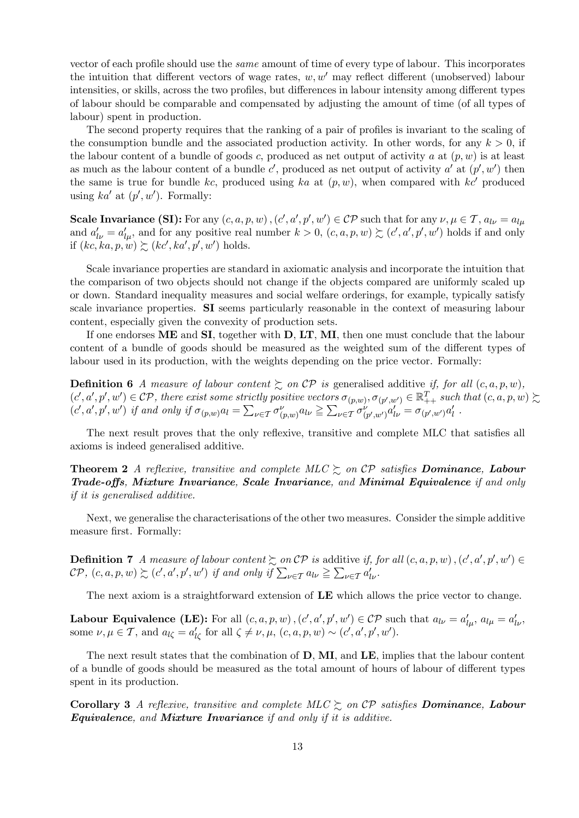vector of each profile should use the same amount of time of every type of labour. This incorporates the intuition that different vectors of wage rates,  $w, w'$  may reflect different (unobserved) labour intensities, or skills, across the two profiles, but differences in labour intensity among different types of labour should be comparable and compensated by adjusting the amount of time (of all types of labour) spent in production.

The second property requires that the ranking of a pair of profiles is invariant to the scaling of the consumption bundle and the associated production activity. In other words, for any  $k > 0$ , if the labour content of a bundle of goods c, produced as net output of activity a at  $(p, w)$  is at least as much as the labour content of a bundle c', produced as net output of activity  $a'$  at  $(p', w')$  then the same is true for bundle kc, produced using ka at  $(p, w)$ , when compared with kc' produced using  $ka'$  at  $(p', w')$ . Formally:

Scale Invariance (SI): For any  $(c, a, p, w)$ ,  $(c', a', p', w') \in \mathcal{CP}$  such that for any  $\nu, \mu \in \mathcal{T}$ ,  $a_{l\nu} = a_{l\mu}$ and  $a'_{l\nu} = a'_{l\mu}$ , and for any positive real number  $k > 0$ ,  $(c, a, p, w) \succsim (c', a', p', w')$  holds if and only if  $(kc, ka, p, w) \succsim (kc', ka', p', w')$  holds.

Scale invariance properties are standard in axiomatic analysis and incorporate the intuition that the comparison of two objects should not change if the objects compared are uniformly scaled up or down. Standard inequality measures and social welfare orderings, for example, typically satisfy scale invariance properties. SI seems particularly reasonable in the context of measuring labour content, especially given the convexity of production sets.

If one endorses ME and SI, together with D, LT, MI, then one must conclude that the labour content of a bundle of goods should be measured as the weighted sum of the different types of labour used in its production, with the weights depending on the price vector. Formally:

**Definition 6** A measure of labour content  $\succsim$  on CP is generalised additive if, for all  $(c, a, p, w)$ ,  $(c', a', p', w') \in \mathcal{CP}$ , there exist some strictly positive vectors  $\sigma_{(p,w)}, \sigma_{(p',w')} \in \mathbb{R}^T_{++}$  such that  $(c, a, p, w) \succsim$  $(c', a', p', w')$  if and only if  $\sigma_{(p,w)} a_l = \sum_{\nu \in \mathcal{T}} \sigma_{(p,w)}^{\nu} a_{l\nu} \geq \sum_{\nu \in \mathcal{T}} \sigma_{(p',w')}^{\nu} a_{l\nu}' = \sigma_{(p',w')} a_l'$ .

The next result proves that the only reflexive, transitive and complete MLC that satisfies all axioms is indeed generalised additive.

**Theorem 2** A reflexive, transitive and complete MLC  $\succeq$  on CP satisfies **Dominance**, **Labour** Trade-offs, Mixture Invariance, Scale Invariance, and Minimal Equivalence if and only if it is generalised additive.

Next, we generalise the characterisations of the other two measures. Consider the simple additive measure first. Formally:

**Definition 7** A measure of labour content  $\sum_{n=0}^{\infty}$  on CP is additive if, for all  $(c, a, p, w)$ ,  $(c', a', p', w') \in$  $\mathcal{CP}, (c, a, p, w) \succsim (c', a', p', w')$  if and only if  $\sum_{\nu \in \mathcal{T}} a_{l\nu} \geq \sum_{\nu \in \mathcal{T}} a'_{l\nu}$ .

The next axiom is a straightforward extension of LE which allows the price vector to change.

**Labour Equivalence (LE):** For all  $(c, a, p, w)$ ,  $(c', a', p', w') \in \mathcal{CP}$  such that  $a_{l\nu} = a'_{l\nu}$ ,  $a_{l\mu} = a'_{l\nu}$ , some  $\nu, \mu \in \mathcal{T}$ , and  $a_{l\zeta} = a'_{l\zeta}$  for all  $\zeta \neq \nu, \mu$ ,  $(c, a, p, w) \sim (c', a', p', w')$ .

The next result states that the combination of  $D, MI$ , and  $LE$ , implies that the labour content of a bundle of goods should be measured as the total amount of hours of labour of different types spent in its production.

Corollary 3 A reflexive, transitive and complete MLC  $\succsim$  on CP satisfies Dominance, Labour Equivalence, and Mixture Invariance if and only if it is additive.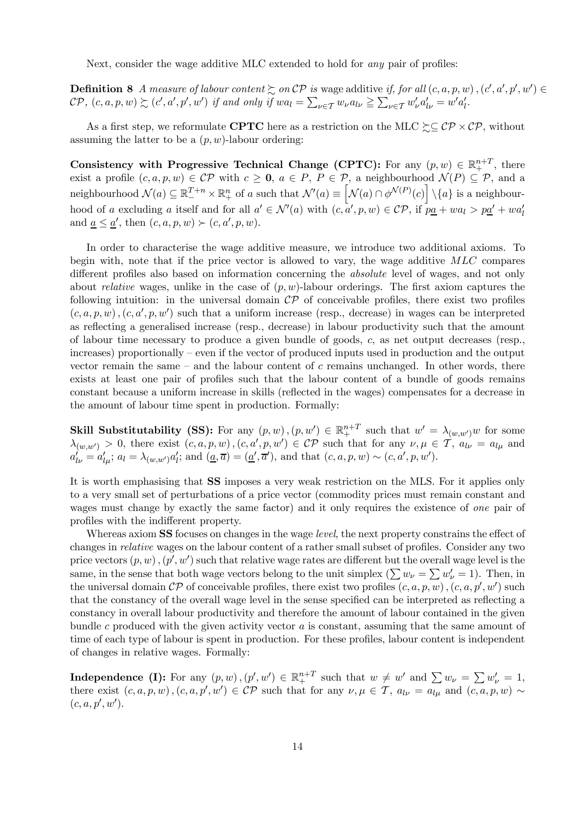Next, consider the wage additive MLC extended to hold for any pair of profiles:

**Definition 8** A measure of labour content  $\succsim$  on  $\mathcal{CP}$  is wage additive if, for all  $(c, a, p, w)$ ,  $(c', a', p', w') \in \mathcal{CP}$  $\mathcal{CP}, (c, a, p, w) \succsim (c', a', p', w')$  if and only if  $wa_l = \sum_{\nu \in \mathcal{T}} w_{\nu} a_{l\nu} \geq \sum_{\nu \in \mathcal{T}} w'_{\nu} a'_{l\nu} = w' a'_{l}$ .

As a first step, we reformulate CPTC here as a restriction on the MLC  $\succeq \mathcal{CP} \times \mathcal{CP}$ , without assuming the latter to be a  $(p, w)$ -labour ordering:

Consistency with Progressive Technical Change (CPTC): For any  $(p, w) \in \mathbb{R}^{n+T}_+$ , there exist a profile  $(c, a, p, w) \in \mathcal{CP}$  with  $c \geq 0$ ,  $a \in P$ ,  $P \in \mathcal{P}$ , a neighbourhood  $\mathcal{N}(P) \subseteq \mathcal{P}$ , and a neighbourhood  $\mathcal{N}(a) \subseteq \mathbb{R}^{T+n}_{+} \times \mathbb{R}^{n}_{+}$  of a such that  $\mathcal{N}'(a) \equiv \left[\mathcal{N}(a) \cap \phi^{\mathcal{N}(P)}(c)\right] \setminus \{a\}$  is a neighbourhood of a excluding a itself and for all  $a' \in \mathcal{N}'(a)$  with  $(c, a', p, w) \in \mathcal{CP}$ , if  $p\underline{a} + wa_1 > p\underline{a'} + wa_1'$ and  $\underline{a} \leq \underline{a}'$ , then  $(c, a, p, w) \succ (c, a', p, w)$ .

In order to characterise the wage additive measure, we introduce two additional axioms. To begin with, note that if the price vector is allowed to vary, the wage additive MLC compares different profiles also based on information concerning the absolute level of wages, and not only about *relative* wages, unlike in the case of  $(p, w)$ -labour orderings. The first axiom captures the following intuition: in the universal domain  $\mathcal{CP}$  of conceivable profiles, there exist two profiles  $(c, a, p, w)$ ,  $(c, a', p, w')$  such that a uniform increase (resp., decrease) in wages can be interpreted as reflecting a generalised increase (resp., decrease) in labour productivity such that the amount of labour time necessary to produce a given bundle of goods, c, as net output decreases (resp., increases) proportionally — even if the vector of produced inputs used in production and the output vector remain the same  $-$  and the labour content of c remains unchanged. In other words, there exists at least one pair of profiles such that the labour content of a bundle of goods remains constant because a uniform increase in skills (reflected in the wages) compensates for a decrease in the amount of labour time spent in production. Formally:

**Skill Substitutability (SS):** For any  $(p, w)$ ,  $(p, w') \in \mathbb{R}^{n+T}_+$  such that  $w' = \lambda_{(w, w')w}$  for some  $\lambda_{(w,w')} > 0$ , there exist  $(c, a, p, w)$ ,  $(c, a', p, w') \in \mathcal{CP}$  such that for any  $\nu, \mu \in \mathcal{T}$ ,  $a_{l\nu} = a_{l\mu}$  and  $a'_{l\nu} = a'_{l\mu}; a_l = \lambda_{(w,w')} a'_{l}; \text{ and } (\underline{a}, \overline{a}) = (\underline{a}', \overline{a}'), \text{ and that } (c, a, p, w) \sim (c, a', p, w').$ 

It is worth emphasising that SS imposes a very weak restriction on the MLS. For it applies only to a very small set of perturbations of a price vector (commodity prices must remain constant and wages must change by exactly the same factor) and it only requires the existence of one pair of profiles with the indifferent property.

Whereas axiom **SS** focuses on changes in the wage *level*, the next property constrains the effect of changes in relative wages on the labour content of a rather small subset of profiles. Consider any two price vectors  $(p, w)$  ,  $(p', w')$  such that relative wage rates are different but the overall wage level is the same, in the sense that both wage vectors belong to the unit simplex  $(\sum w_{\nu} = \sum w_{\nu}' = 1)$ . Then, in the universal domain  $\mathcal{CP}$  of conceivable profiles, there exist two profiles  $(c, a, p, w)$ ,  $(c, a, p', w')$  such that the constancy of the overall wage level in the sense specified can be interpreted as reflecting a constancy in overall labour productivity and therefore the amount of labour contained in the given bundle c produced with the given activity vector a is constant, assuming that the same amount of time of each type of labour is spent in production. For these profiles, labour content is independent of changes in relative wages. Formally:

**Independence (I):** For any  $(p, w)$ ,  $(p', w') \in \mathbb{R}^{n+T}_+$  such that  $w \neq w'$  and  $\sum w_{\nu} = \sum w_{\nu}' = 1$ , there exist  $(c, a, p, w)$ ,  $(c, a, p', w') \in \mathcal{CP}$  such that for any  $\nu, \mu \in \mathcal{T}$ ,  $a_{l\nu} = a_{l\mu}$  and  $(c, a, p, w) \sim$  $(c, a, p', w').$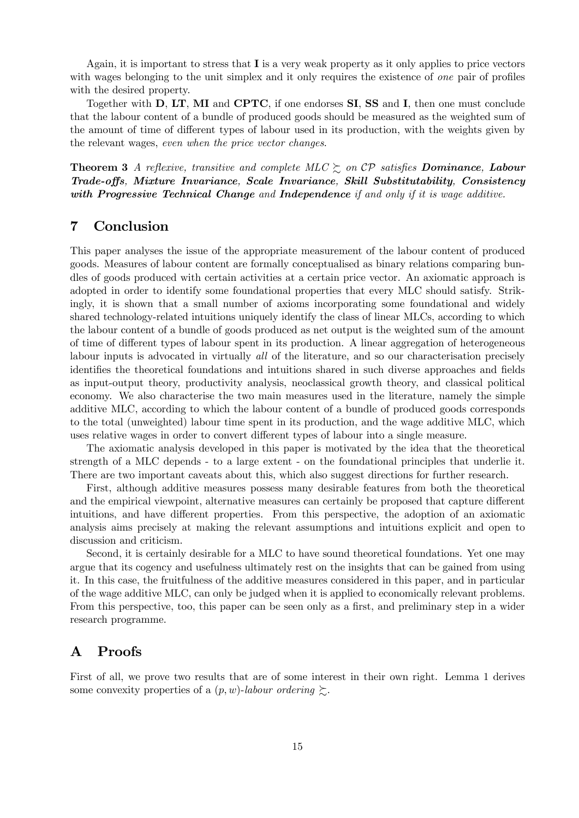Again, it is important to stress that I is a very weak property as it only applies to price vectors with wages belonging to the unit simplex and it only requires the existence of *one* pair of profiles with the desired property.

Together with D, LT, MI and CPTC, if one endorses SI, SS and I, then one must conclude that the labour content of a bundle of produced goods should be measured as the weighted sum of the amount of time of different types of labour used in its production, with the weights given by the relevant wages, even when the price vector changes.

**Theorem 3** A reflexive, transitive and complete MLC  $\succeq$  on CP satisfies Dominance, Labour Trade-offs, Mixture Invariance, Scale Invariance, Skill Substitutability, Consistency with Progressive Technical Change and Independence if and only if it is wage additive.

#### 7 Conclusion

This paper analyses the issue of the appropriate measurement of the labour content of produced goods. Measures of labour content are formally conceptualised as binary relations comparing bundles of goods produced with certain activities at a certain price vector. An axiomatic approach is adopted in order to identify some foundational properties that every MLC should satisfy. Strikingly, it is shown that a small number of axioms incorporating some foundational and widely shared technology-related intuitions uniquely identify the class of linear MLCs, according to which the labour content of a bundle of goods produced as net output is the weighted sum of the amount of time of different types of labour spent in its production. A linear aggregation of heterogeneous labour inputs is advocated in virtually all of the literature, and so our characterisation precisely identifies the theoretical foundations and intuitions shared in such diverse approaches and fields as input-output theory, productivity analysis, neoclassical growth theory, and classical political economy. We also characterise the two main measures used in the literature, namely the simple additive MLC, according to which the labour content of a bundle of produced goods corresponds to the total (unweighted) labour time spent in its production, and the wage additive MLC, which uses relative wages in order to convert different types of labour into a single measure.

The axiomatic analysis developed in this paper is motivated by the idea that the theoretical strength of a MLC depends - to a large extent - on the foundational principles that underlie it. There are two important caveats about this, which also suggest directions for further research.

First, although additive measures possess many desirable features from both the theoretical and the empirical viewpoint, alternative measures can certainly be proposed that capture different intuitions, and have different properties. From this perspective, the adoption of an axiomatic analysis aims precisely at making the relevant assumptions and intuitions explicit and open to discussion and criticism.

Second, it is certainly desirable for a MLC to have sound theoretical foundations. Yet one may argue that its cogency and usefulness ultimately rest on the insights that can be gained from using it. In this case, the fruitfulness of the additive measures considered in this paper, and in particular of the wage additive MLC, can only be judged when it is applied to economically relevant problems. From this perspective, too, this paper can be seen only as a first, and preliminary step in a wider research programme.

#### A Proofs

First of all, we prove two results that are of some interest in their own right. Lemma 1 derives some convexity properties of a  $(p, w)$ -labour ordering  $\succsim$ .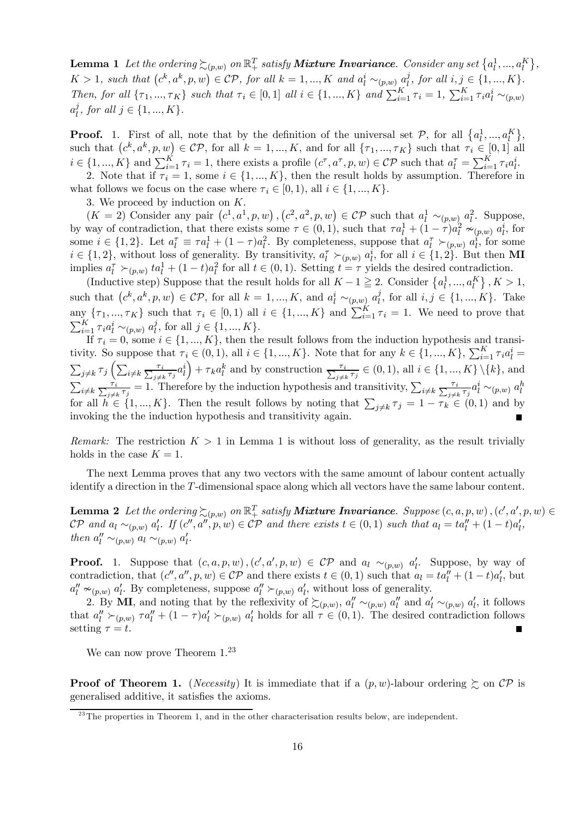**Lemma 1** Let the ordering  $\succsim_{(p,w)}$  on  $\mathbb{R}^T_+$  satisfy **Mixture Invariance**. Consider any set  $\{a_l^1,...,a_l^K\}$ ,  $K > 1$ , such that  $(c^k, a^k, p, w) \in \mathcal{CP}$ , for all  $k = 1, ..., K$  and  $a_l^i \sim_{(p,w)} a_l^j$ , for all  $i, j \in \{1, ..., K\}$ . Then, for all  $\{\tau_1, ..., \tau_K\}$  such that  $\tau_i \in [0, 1]$  all  $i \in \{1, ..., K\}$  and  $\sum_{i=1}^K \tau_i = 1$ ,  $\sum_{i=1}^K \tau_i a_i^i \sim_{(p,w)}$  $a_l^j$ , for all  $j \in \{1, ..., K\}$ .

**Proof.** 1. First of all, note that by the definition of the universal set  $P$ , for all  $\{a_l^1, ..., a_l^K\}$ , such that  $(c^k, a^k, p, w) \in \mathcal{CP}$ , for all  $k = 1, ..., K$ , and for all  $\{\tau_1, ..., \tau_K\}$  such that  $\tau_i \in [0, 1]$  all  $i \in \{1, ..., K\}$  and  $\sum_{i=1}^{K} \tau_i = 1$ , there exists a profile  $(c^{\tau}, a^{\tau}, p, w) \in \mathcal{CP}$  such that  $a_i^{\tau} = \sum_{i=1}^{K} \tau_i a_i^i$ .

2. Note that if  $\tau_i = 1$ , some  $i \in \{1, ..., K\}$ , then the result holds by assumption. Therefore in what follows we focus on the case where  $\tau_i \in [0, 1)$ , all  $i \in \{1, ..., K\}$ .

3. We proceed by induction on K.

 $(K = 2)$  Consider any pair  $(c^1, a^1, p, w), (c^2, a^2, p, w) \in \mathcal{CP}$  such that  $a_l^1 \sim_{(p,w)} a_l^2$ . Suppose, by way of contradiction, that there exists some  $\tau \in (0,1)$ , such that  $\tau a_l^1 + (1-\tau)a_l^2 \approx_{(p,w)} a_l^i$ , for some  $i \in \{1,2\}$ . Let  $a_l^{\tau} \equiv \tau a_l^1 + (1-\tau)a_l^2$ . By completeness, suppose that  $a_l^{\tau} \succ_{(p,w)} a_l^i$ , for some  $i \in \{1,2\}$ , without loss of generality. By transitivity,  $a_l^{\tau} \succ_{(p,w)} a_l^i$ , for all  $i \in \{1,2\}$ . But then **MI** implies  $a_l^{\tau} \succ_{(p,w)} ta_l^1 + (1-t)a_l^2$  for all  $t \in (0,1)$ . Setting  $t = \tau$  yields the desired contradiction.

(Inductive step) Suppose that the result holds for all  $K - 1 \geq 2$ . Consider  $\{a_1^1, ..., a_k^K\}$ ,  $K > 1$ , such that  $(c^k, a^k, p, w) \in \mathcal{CP}$ , for all  $k = 1, ..., K$ , and  $a_l^i \sim_{(p,w)} a_l^j$ , for all  $i, j \in \{1, ..., K\}$ . Take  $\{ \tau_1, ..., \tau_K \}$  such that  $\tau_i \in [0,1)$  all  $i \in \{1, ..., K\}$  and  $\sum_{i=1}^K \tau_i = 1$ . We need to prove that  $\sum_{i=1}^{K} \tau_i a_l^i \sim_{(p,w)} a_l^j$ , for all  $j \in \{1, ..., K\}$ .

If  $\tau_i = 0$ , some  $i \in \{1, ..., K\}$ , then the result follows from the induction hypothesis and transitivity. So suppose that  $\tau_i \in (0,1)$ , all  $i \in \{1, ..., K\}$ . Note that for any  $k \in \{1, ..., K\}$ ,  $\sum_{i=1}^K \tau_i a_i^i =$  $\sum_{j\neq k}\tau_j\left(\sum_{i\neq k}\frac{\tau_i}{\sum_{j\neq k}\tau_j}a_l^i\right)$  $+\tau_k a_l^k$  and by construction  $\frac{\tau_i}{\sum_{j\neq k}\tau_j}\in(0,1)$ , all  $i\in\{1,...,K\}\setminus\{k\}$ , and  $\sum_{i\neq k} \frac{\tau_i}{\sum_{j\neq k} \tau_j} = 1$ . Therefore by the induction hypothesis and transitivity,  $\sum_{i\neq k} \frac{\tau_i}{\sum_{j\neq k} \tau_j} a_l^i \sim_{(p,w)} a_l^h$ for all  $h \in \{1, ..., K\}$ . Then the result follows by noting that  $\sum_{j \neq k} \tau_j = 1 - \tau_k \in (0, 1)$  and by invoking the the induction hypothesis and transitivity again.

Remark: The restriction  $K > 1$  in Lemma 1 is without loss of generality, as the result trivially holds in the case  $K = 1$ .

The next Lemma proves that any two vectors with the same amount of labour content actually identify a direction in the T-dimensional space along which all vectors have the same labour content.

**Lemma 2** Let the ordering  $\succsim_{(p,w)}$  on  $\mathbb{R}^T_+$  satisfy **Mixture Invariance**. Suppose  $(c, a, p, w)$ ,  $(c', a', p, w) \in$  $\mathcal{CP}$  and  $a_l \sim_{(p,w)} a'_l$ . If  $(c'', a'', p, w) \in \mathcal{CP}$  and there exists  $t \in (0,1)$  such that  $a_l = ta''_l + (1-t)a'_l$ , then  $a''_l \sim_{(p,w)} a_l \sim_{(p,w)} a'_l$ .

**Proof.** 1. Suppose that  $(c, a, p, w)$ ,  $(c', a', p, w) \in \mathcal{CP}$  and  $a_l \sim_{(p,w)} a'_l$ . Suppose, by way of contradiction, that  $(c'', a'', p, w) \in \mathcal{CP}$  and there exists  $t \in (0, 1)$  such that  $a_l = ta''_l + (1-t)a'_l$ , but  $a''_l \nsim_{(p,w)} a'_l$ . By completeness, suppose  $a''_l \succeq_{(p,w)} a'_l$ , without loss of generality.

2. By MI, and noting that by the reflexivity of  $\succcurlyeq_{(p,w)} a''_l \sim_{(p,w)} a''_l$  and  $a'_l \sim_{(p,w)} a'_l$ , it follows that  $a''_l \succ_{(p,w)} \tau a''_l + (1-\tau)a'_l \succ_{(p,w)} a'_l$  holds for all  $\tau \in (0,1)$ . The desired contradiction follows setting  $\tau = t$ .

We can now prove Theorem  $1.^{23}$ 

**Proof of Theorem 1.** (*Necessity*) It is immediate that if a  $(p, w)$ -labour ordering  $\succeq$  on CP is generalised additive, it satisfies the axioms.

 $^{23}$ The properties in Theorem 1, and in the other characterisation results below, are independent.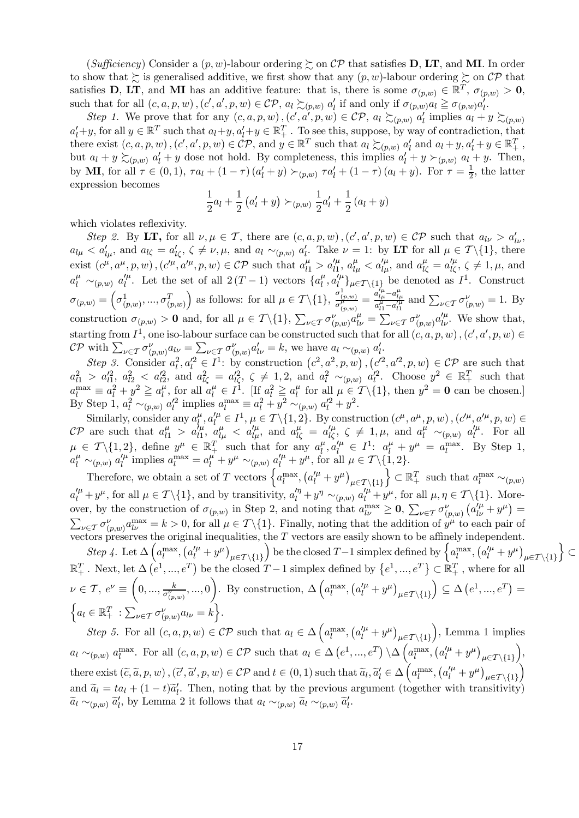(Sufficiency) Consider a  $(p, w)$ -labour ordering  $\succsim$  on CP that satisfies **D**, LT, and MI. In order to show that  $\succsim$  is generalised additive, we first show that any  $(p, w)$ -labour ordering  $\succsim$  on CP that satisfies **D**, LT, and MI has an additive feature: that is, there is some  $\sigma_{(p,w)} \in \mathbb{R}^T$ ,  $\sigma_{(p,w)} > 0$ , such that for all  $(c, a, p, w)$ ,  $(c', a', p, w) \in \mathcal{CP}$ ,  $a_l \succsim_{(p,w)} a'_l$  if and only if  $\sigma_{(p,w)} a_l \geq \sigma_{(p,w)} a'_l$ .

Step 1. We prove that for any  $(c, a, p, w)$ ,  $(c', a', p, w) \in \mathcal{CP}$ ,  $a_l \succsim_{(p,w)} a'_l$  implies  $a_l + y \succsim_{(p,w)} a_l$  $a'_l+y$ , for all  $y \in \mathbb{R}^T$  such that  $a_l+y$ ,  $a'_l+y \in \mathbb{R}^T_+$ . To see this, suppose, by way of contradiction, that there exist  $(c, a, p, w)$ ,  $(c', a', p, w) \in \mathcal{CP}$ , and  $y \in \mathbb{R}^T$  such that  $a_l \succsim_{(p,w)} a'_l$  and  $a_l + y, a'_l + y \in \mathbb{R}^T_+$ , but  $a_l + y \succeq_{(p,w)} a'_l + y$  dose not hold. By completeness, this implies  $a'_l + y \succeq_{(p,w)} a_l + y$ . Then, by **MI**, for all  $\tau \in (0,1)$ ,  $\tau a_l + (1-\tau) (a'_l + y) \succ_{(p,w)} \tau a'_l + (1-\tau) (a_l + y)$ . For  $\tau = \frac{1}{2}$ , the latter expression becomes

$$
\frac{1}{2}a_l + \frac{1}{2}(a'_l + y) \succ_{(p,w)} \frac{1}{2}a'_l + \frac{1}{2}(a_l + y)
$$

which violates reflexivity.

Step 2. By LT, for all  $\nu, \mu \in \mathcal{T}$ , there are  $(c, a, p, w)$ ,  $(c', a', p, w) \in \mathcal{CP}$  such that  $a_{l\nu} > a'_{l\nu}$ ,  $a_{l\mu} < a'_{l\mu}$ , and  $a_{l\zeta} = a'_{l\zeta}$ ,  $\zeta \neq \nu, \mu$ , and  $a_l \sim_{(p,w)} a'_{l}$ . Take  $\nu = 1$ : by LT for all  $\mu \in \mathcal{T} \setminus \{1\}$ , there exist  $(c^{\mu}, a^{\mu}, p, w)$ ,  $(c'^{\mu}, a'^{\mu}, p, w) \in \mathcal{CP}$  such that  $a^{\mu}_{l1} > a'^{\mu}_{l1}$ ,  $a^{\mu}_{l\mu} < a'^{\mu}_{l\mu}$ , and  $a^{\mu}_{l\zeta} = a'^{\mu}_{l\zeta}$ ,  $\zeta \neq 1, \mu$ , and  $a_l^{\mu} \sim_{(p,w)} a_l^{\prime \mu}$ . Let the set of all  $2(T-1)$  vectors  $\{a_l^{\mu}, a_l^{\prime \mu}\}_{\mu \in \mathcal{T} \setminus \{1\}}$  be denoted as  $I^1$ . Construct  $\sigma_{(p,w)} = \left(\sigma^1_{(p,w)}, ..., \sigma^T_{(p,w)}\right)$ ) as follows: for all  $\mu \in \mathcal{T} \setminus \{1\}$ ,  $\frac{\sigma_{\{p,w\}}^1}{\sigma_{(p,w)}^{\mu}} = \frac{a_{\mu}^{\prime\mu} - a_{\mu}^{\mu}}{a_{\mu}^{\mu} - a_{\mu}^{\prime\mu}}$  and  $\sum_{\nu \in \mathcal{T}} \sigma_{(p,w)}^{\nu} = 1$ . By construction  $\sigma_{(p,w)} > 0$  and, for all  $\mu \in \mathcal{T} \setminus \{1\}$ ,  $\sum_{\nu \in \mathcal{T}} \sigma_{(p,w)}^{\nu} a_{l\nu}^{\mu} = \sum_{\nu \in \mathcal{T}} \sigma_{(p,w)}^{\nu} a_{l\nu}^{\mu}$ . We show that, starting from  $I^1$ , one iso-labour surface can be constructed such that for all  $(c, a, p, w)$ ,  $(c', a', p, w) \in$  $\mathcal{CP}$  with  $\sum_{\nu \in \mathcal{T}} \sigma_{(p,w)}^{\nu} a_{l\nu} = \sum_{\nu \in \mathcal{T}} \sigma_{(p,w)}^{\nu} a_{l\nu}' = k$ , we have  $a_l \sim_{(p,w)} a_l'$ .

Step 3. Consider  $a_l^2, a_l'^2 \in I^1$ : by construction  $(c^2, a^2, p, w), (c^2, a'^2, p, w) \in \mathcal{CP}$  are such that  $a_{l1}^2 > a_{l1}^{\prime 2}, a_{l2}^2 < a_{l2}^{\prime 2}, \text{ and } a_{l\zeta}^2 = a_{l\zeta}^{\prime 2}, \zeta \neq 1, 2, \text{ and } a_l^2 \sim_{(p,w)} a_l^{\prime 2}.$  Choose  $y^2 \in \mathbb{R}_+^T$  such that  $a_l^{\max} \equiv a_l^2 + y^2 \geqq a_l^{\mu}$ , for all  $a_l^{\mu} \in I^{\overline{1}}$ . [If  $a_l^2 \geqq a_l^{\mu}$  for all  $\mu \in \mathcal{T} \setminus \{1\}$ , then  $y^2 = \mathbf{0}$  can be chosen.] By Step 1,  $a_l^2 \sim_{(p,w)} a_l'^2$  implies  $a_l^{\max} \equiv a_l^2 + y^2 \sim_{(p,w)} a_l'^2 + y^2$ .

Similarly, consider any  $a_l^{\mu}, a_l^{\prime \mu} \in I^1$ ,  $\mu \in \mathcal{T} \setminus \{1, 2\}$ . By construction  $(c^{\mu}, a^{\mu}, p, w)$ ,  $(c^{\prime \mu}, a^{\prime \mu}, p, w) \in$  $\mathcal{CP}$  are such that  $a_{l1}^{\mu} > a_{l1}^{\prime \mu}$ ,  $a_{l\mu}^{\mu} < a_{l\mu}^{\prime \mu}$ , and  $a_{l\zeta}^{\mu} = a_{l\zeta}^{\prime \mu}$ ,  $\zeta \neq 1, \mu$ , and  $a_{l}^{\mu} \sim_{(p,w)} a_{l}^{\prime \mu}$ . For all  $\mu \in \mathcal{T} \setminus \{1, 2\}$ , define  $y^{\mu} \in \mathbb{R}_+^T$  such that for any  $a_l^{\mu}, a_l^{\prime \mu} \in I^1$ :  $a_l^{\mu} + y^{\mu} = a_l^{\max}$ . By Step 1,  $a_l^{\mu} \sim_{(p,w)} a_l^{\prime \mu}$  implies  $a_l^{\mu} = a_l^{\mu'} + y^{\mu} \sim_{(p,w)} a_l^{\prime \mu} + y^{\mu}$ , for all  $\mu \in \mathcal{T} \setminus \{1, 2\}.$ 

Therefore, we obtain a set of T vectors  $\left\{ a_l^{\max}, \left( a_l^{\prime \mu} + y^\mu \right)_{\mu \in \mathcal{T} \setminus \{1\}} \right\}$ } ⊂  $\mathbb{R}_+^T$  such that  $a_l^{\max} \sim_{(p,w)}$  $a_l''^{\mu} + y^{\mu}$ , for all  $\mu \in \mathcal{T} \setminus \{1\}$ , and by transitivity,  $a_l''^{\mu} + y^{\eta} \sim_{(p,w)} a_l''^{\mu} + y^{\mu}$ , for all  $\mu, \eta \in \mathcal{T} \setminus \{1\}$ . Moreover, by the construction of  $\sigma_{(p,w)}$  in Step 2, and noting that  $a_{l\nu}^{\text{max}} \geq 0$ ,  $\sum_{\nu \in \mathcal{T}} \sigma_{(p,w)}^{\nu} (a_{l\nu}^{\prime \mu} + y^{\mu}) =$  $\sum_{\nu \in \mathcal{T}} \sigma_{(p,w)}^{\nu} a_{l\nu}^{\text{max}} = k > 0$ , for all  $\mu \in \mathcal{T} \setminus \{1\}$ . Finally, noting that the addition of  $y^{\mu}$  to each pair of vectors preserves the original inequalities, the T vectors are easily shown to be affinely independent.

Step 4. Let  $\Delta \left( a_l^{\text{max}}, (a_l'^{\mu} + y^{\mu})_{\mu \in \mathcal{T} \setminus \{1\}} \right)$ be the closed T-1 simplex defined by  $\left\{ a_l^{\max}, \left( a_l^{\prime \mu} + y^{\mu} \right)_{\mu \in \mathcal{T} \setminus \{1\}} \right\}$  $\mathfrak{d}$  $\mathbb{R}_+^T$ . Next, let  $\Delta(e^1, ..., e^T)$  be the closed  $T-1$  simplex defined by  $\{e^1, ..., e^T\} \subset \mathbb{R}_+^T$ , where for all  $\nu \in \mathcal{T}, e^{\nu} \equiv \left(0, ..., \frac{k}{\sigma^{\nu}_{(p,w)}}, ..., 0\right)$  $\setminus$ . By construction,  $\Delta\left(a_l^{\max},\left(a_l^{\prime\mu}+y^\mu\right)_{\mu\in\mathcal{T}\backslash\{1\}}\right)$  $\Big) \subseteq \Delta(e^1, ..., e^T) =$  $\left\{ a_l \in \mathbb{R}^T_+ : \sum_{\nu \in \mathcal{T}} \sigma_{(p,w)}^{\nu} a_{l\nu} = k \right\}.$ 

⊂

Step 5. For all  $(c, a, p, w) \in \mathcal{CP}$  such that  $a_l \in \Delta \left( a_l^{\max}, \left( a_l^{\prime \mu} + y^{\mu} \right)_{\mu \in \mathcal{T} \setminus \{1\}} \right)$ ), Lemma 1 implies  $a_l \sim_{(p,w)} a_l^{\max}$ . For all  $(c, a, p, w) \in \mathcal{CP}$  such that  $a_l \in \Delta(e^1, ..., e^T) \setminus \Delta\left(a_l^{\max}, (a_l'^{\mu} + y^{\mu})_{\mu \in \mathcal{T} \setminus \{1\}}\right)$ ´ , there exist  $(\tilde{c}, \tilde{a}, p, w)$ ,  $(\tilde{c}', \tilde{a}', p, w) \in \mathcal{CP}$  and  $t \in (0, 1)$  such that  $\tilde{a}_l, \tilde{a}'_l \in \Delta \left( a_l^{\max}, \left( a_l'^{\mu} + y^{\mu} \right)_{\mu \in \mathcal{T} \setminus \{1\}} \right)$ ´ and  $\tilde{a}_l = ta_l + (1-t)\tilde{a}'_l$ . Then, noting that by the previous argument (together with transitivity)  $\tilde{a}_l \sim_{(p,w)} \tilde{a}'_l$ , by Lemma 2 it follows that  $a_l \sim_{(p,w)} \tilde{a}_l \sim_{(p,w)} \tilde{a}'_l$ .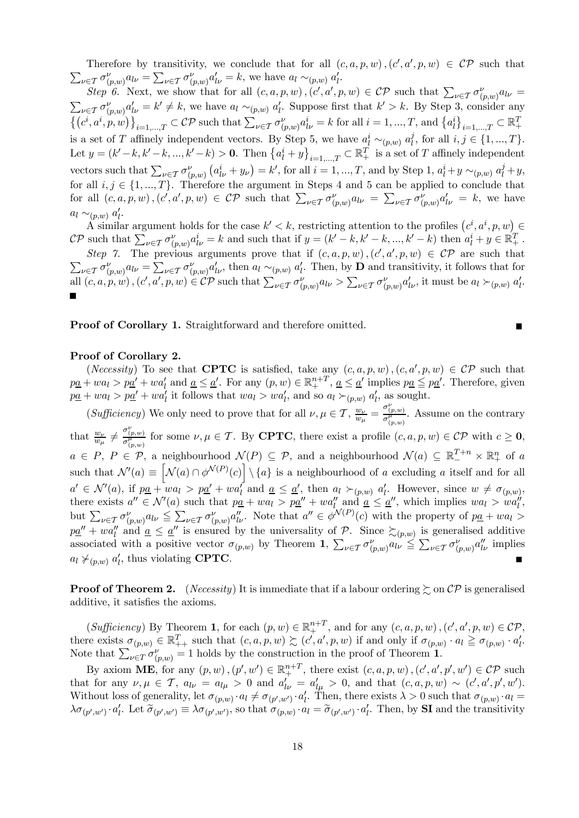Therefore by transitivity, we conclude that for all  $(c, a, p, w)$ ,  $(c', a', p, w) \in \mathcal{CP}$  such that  $\sum_{\nu \in \mathcal{T}} \sigma_{(p,w)}^{\nu} a_{l\nu} = \sum_{\nu \in \mathcal{T}} \sigma_{(p,w)}^{\nu} a_{l\nu}' = k$ , we have  $a_l \sim_{(p,w)} a'_l$ .

Step 6. Next, we show that for all  $(c, a, p, w)$ ,  $(c', a', p, w) \in \mathcal{CP}$  such that  $\sum_{\nu \in \mathcal{T}} \sigma_{(p,w)}^{\nu} a_{l\nu} =$ <br> $\sum_{\nu \in \mathcal{T}} \sigma_{(p,w)}^{\nu} a_{l\nu}^{\nu} = k' \neq k$ , we have  $a_l \sim_{(n,w)} a'_l$ . Suppose first that  $k' > k$ . By Step 3, consid  $\sum_{\nu \in \mathcal{I}} \sigma_{(p,w)}^{\nu} a_{l\nu}^{\prime} = k' \neq k$ , we have  $a_l \sim_{(p,w)} a_l'$ . Suppose first that  $k' > k$ . By Step 3, consider any  $\left\{\left(c^i, a^i, p, w\right)\right\}_{i=1,\ldots,T} \subset \mathcal{CP} \text{ such that } \sum_{\nu \in \mathcal{T}} \sigma_{(p,w)}^{\nu} a_{l\nu}^i = k \text{ for all } i = 1,\ldots,T, \text{ and } \left\{a_l^i\right\}_{i=1,\ldots,T} \subset \mathbb{R}_+^T$ is a set of T affinely independent vectors. By Step 5, we have  $a_l^i \sim_{(p,w)} a_l^j$ , for all  $i, j \in \{1, ..., T\}$ . Let  $y = (k'-k, k'-k, ..., k'-k) > 0$ . Then  $\{a_l^i + y\}_{i=1,...,T} \subset \mathbb{R}_+^T$  is a set of T affinely independent vectors such that  $\sum_{\nu \in \mathcal{T}} \frac{\sigma_{(p,w)}^{\nu}}{(a_{l\nu}^i + y_{\nu})} = k'$ , for all  $i = 1, ..., T$ , and by Step 1,  $a_l^i + y \sim_{(p,w)} a_l^j + y$ , for all  $i, j \in \{1, ..., T\}$ . Therefore the argument in Steps 4 and 5 can be applied to conclude that for all  $(c, a, p, w)$ , $(c', a', p, w) \in \mathcal{CP}$  such that  $\sum_{\nu \in \mathcal{T}} \sigma_{(p,w)}^{\nu} a_{l\nu} = \sum_{\nu \in \mathcal{T}} \sigma_{(p,w)}^{\nu} a'_{l\nu} = k$ , we have  $a_l \sim_{(p,w)} a'_l$ .

A similar argument holds for the case  $k' < k$ , restricting attention to the profiles  $(c^i, a^i, p, w) \in$ CP such that  $\sum_{\nu \in \mathcal{T}} \sigma_{(p,w)}^{\nu} a_{l\nu}^{i} = k$  and such that if  $y = (k'-k, k'-k, ..., k'-k)$  then  $a_l^i + y \in \mathbb{R}_+^T$ . Step 7. The previous arguments prove that if  $(c, a, p, w)$ ,  $(c', a', p, w) \in \mathcal{CP}$  are such that

 $\sum_{\nu \in \mathcal{T}} \sigma_{(p,w)}^{\nu} a_{l\nu} = \sum_{\nu \in \mathcal{T}} \sigma_{(p,w)}^{\nu} a_{l\nu}^{\prime}$ , then  $a_l \sim_{(p,w)} a_l^{\prime}$ . Then, by **D** and transitivity, it follows that for all  $(c, a, p, w)$ ,  $(c', a', p, w) \in \mathcal{CP}$  such that  $\sum_{\nu \in \mathcal{T}} \sigma_{(p,w)}^{\nu} a_{l\nu} > \sum_{\nu \in \mathcal{T}} \sigma_{(p,w)}^{\nu} a_{l\nu}^{\prime}$ , it must be  $a_l \succ_{(p,w)} a_l^{\prime}$ .

 $\blacksquare$ 

Proof of Corollary 1. Straightforward and therefore omitted.

#### Proof of Corollary 2.

(*Necessity*) To see that **CPTC** is satisfied, take any  $(c, a, p, w)$ ,  $(c, a', p, w) \in \mathcal{CP}$  such that  $p\underline{a} + wa_l > p\underline{a'} + wa'_l$  and  $\underline{a} \leq \underline{a'}$ . For any  $(p, w) \in \mathbb{R}^{n+T}$ ,  $\underline{a} \leq \underline{a'}$  implies  $p\underline{a} \leq p\underline{a'}$ . Therefore, given  $p\underline{a} + wa_l > p\underline{a}' + wa'_l$  it follows that  $wa_l > wa'_l$ , and so  $a_l \succ_{(p,w)} a'_l$ , as sought.

 $(Sufficiency)$  We only need to prove that for all  $\nu, \mu \in \mathcal{T}$ ,  $\frac{w_{\nu}}{w_{\mu}} = \frac{\sigma_{(p,w)}^{\nu}}{\sigma_{(p,w)}^{\mu}}$ . Assume on the contrary that  $\frac{w_{\nu}}{w_{\mu}} \neq \frac{\sigma_{(p,w)}^{\nu}}{\sigma_{(p,w)}^{\mu}}$  for some  $\nu, \mu \in \mathcal{T}$ . By **CPTC**, there exist a profile  $(c, a, p, w) \in \mathcal{CP}$  with  $c \geq 0$ ,  $a \in P, P \in \mathcal{P}$ , a neighbourhood  $\mathcal{N}(P) \subseteq \mathcal{P}$ , and a neighbourhood  $\mathcal{N}(a) \subseteq \mathbb{R}^{T+n}_- \times \mathbb{R}^n_+$  of a such that  $\mathcal{N}'(a) \equiv \left[ \mathcal{N}(a) \cap \phi^{\mathcal{N}(P)}(c) \right] \setminus \{a\}$  is a neighbourhood of a excluding a itself and for all  $a' \in \mathcal{N}'(a)$ , if  $p\underline{a} + w a_1 > p\underline{a'} + w a_1'$  and  $\underline{a} \leq \underline{a'}$ , then  $a_1 \succ_{(p,w)} a_1'$ . However, since  $w \neq \sigma_{(p,w)}$ , there exists  $a'' \in \mathcal{N}'(a)$  such that  $p\underline{a} + wa_l > p\underline{a}'' + wa_l''$  and  $\underline{a} \leq \underline{a}''$ , which implies  $wa_l > wa_l''$ , but  $\sum_{\nu \in \mathcal{T}} \sigma_{(p,w)}^{\nu} a_{l\nu} \leq \sum_{\nu \in \mathcal{T}} \sigma_{(p,w)}^{\nu} a_{l\nu}^{\nu}$ . Note that  $a^{\prime\prime} \in \phi^{\mathcal{N}(P)}(c)$  with the property of  $p\underline{a} + w a_l >$  $p\underline{a}'' + wa''_l$  and  $\underline{a} \leq \underline{a}''$  is ensured by the universality of  $P$ . Since  $\succeq_{(p,w)}$  is generalised additive associated with a positive vector  $\sigma_{(p,w)}$  by Theorem 1,  $\sum_{\nu \in \mathcal{T}} \sigma_{(p,w)}^{\nu} a_{l\nu}^{\nu} \leq \sum_{\nu \in \mathcal{T}} \sigma_{(p,w)}^{\nu} a_{l\nu}^{\nu}$  implies  $a_l \not\succ_{(p,w)} a'_l$ , thus violating **CPTC**.

**Proof of Theorem 2.** (*Necessity*) It is immediate that if a labour ordering  $\succsim$  on  $\mathcal{CP}$  is generalised additive, it satisfies the axioms.

 $(Sufficiency)$  By Theorem 1, for each  $(p, w) \in \mathbb{R}^{n+T}_+$ , and for any  $(c, a, p, w)$ ,  $(c', a', p, w) \in \mathcal{CP}$ , there exists  $\sigma_{(p,w)} \in \mathbb{R}_{++}^T$  such that  $(c, a, p, w) \succsim (c', a', p, w)$  if and only if  $\sigma_{(p,w)} \cdot a_l \geq \sigma_{(p,w)} \cdot a'_l$ . Note that  $\sum_{\nu \in T} \sigma_{(p,w)}^{\nu} = 1$  holds by the construction in the proof of Theorem 1.

By axiom **ME**, for any  $(p, w)$ ,  $(p', w') \in \mathbb{R}^{n+T}_+$ , there exist  $(c, a, p, w)$ ,  $(c', a', p', w') \in \mathcal{CP}$  such that for any  $\nu, \mu \in \mathcal{T}$ ,  $a_{l\nu} = a_{l\mu} > 0$  and  $a'_{l\nu} = a'_{l\mu} > 0$ , and that  $(c, a, p, w) \sim (c', a', p', w')$ . Without loss of generality, let  $\sigma_{(p,w)} \cdot a_l \neq \sigma_{(p',w')} \cdot a'_l$ . Then, there exists  $\lambda > 0$  such that  $\sigma_{(p,w)} \cdot a_l =$  $\lambda \sigma_{(p',w')} \cdot a'_l$ . Let  $\tilde{\sigma}_{(p',w')} \equiv \lambda \sigma_{(p',w')},$  so that  $\sigma_{(p,w)} \cdot a_l = \tilde{\sigma}_{(p',w')} \cdot a'_l$ . Then, by **SI** and the transitivity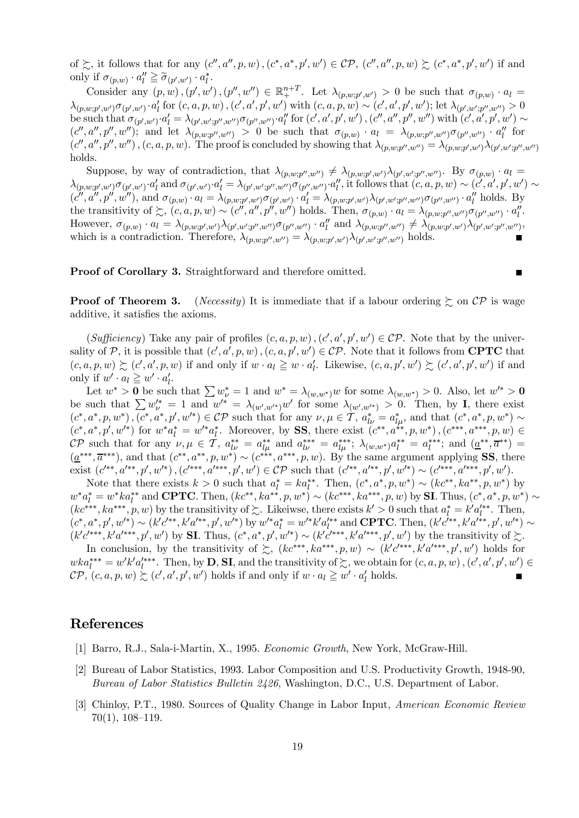of  $\succsim$ , it follows that for any  $(c'', a'', p, w)$ ,  $(c^*, a^*, p', w') \in \mathcal{CP}$ ,  $(c'', a'', p, w) \succsim (c^*, a^*, p', w')$  if and only if  $\sigma_{(p,w)} \cdot a_l'' \geq \tilde{\sigma}_{(p',w')} \cdot a_l^*$ .

Consider any  $(p, w)$ ,  $(p', w')$ ,  $(p'', w'') \in \mathbb{R}^{n+T}_+$ . Let  $\lambda_{(p, w; p', w')} > 0$  be such that  $\sigma_{(p, w)} \cdot a_l =$  $\lambda_{(p,w;p',w')} \sigma_{(p',w')} \cdot a'_{l}$  for  $(c, a, p, w)$ ,  $(c', a', p', w')$  with  $(c, a, p, w) \sim (c', a', p', w')$ ; let  $\lambda_{(p',w',p'',w'')} > 0$ be such that  $\sigma_{(p',w')} \cdot a'_l = \lambda_{(p',w';p'',w'')} \sigma_{(p'',w'')} \cdot a''_l$  for  $(c', a', p', w')$ ,  $(c'', a'', p'', w'')$  with  $(c', a', p', w') \sim$  $(c'', a'', p'', w'')$ ; and let  $\lambda_{(p,w;p'',w'')} > 0$  be such that  $\sigma_{(p,w)} \cdot a_l = \lambda_{(p,w;p'',w'')} \sigma_{(p'',w'')} \cdot a''_l$  for  $(c'', a'', p'', w'')$ ,  $(c, a, p, w)$ . The proof is concluded by showing that  $\lambda_{(p,w;p'',w'')} = \lambda_{(p,w;p',w')} \lambda_{(p',w',p'',w'')}$ holds.

Suppose, by way of contradiction, that  $\lambda_{(p,w;p'',w'')} \neq \lambda_{(p,w;p',w')} \lambda_{(p',w';p'',w'')}$ . By  $\sigma_{(p,w)} \cdot a_l =$  $\lambda_{(p,w;p',w')} \sigma_{(p',w')} \cdot a'_l$  and  $\sigma_{(p',w')} \cdot a'_l = \lambda_{(p',w';p'',w'')} \sigma_{(p'',w'')} \cdot a''_l$ , it follows that  $(c, a, p, w) \sim (c', a', p', w') \sim$  $(c'', a'', p'', w'')$ , and  $\sigma_{(p,w)} \cdot a_l = \lambda_{(p,w;p',w')} \sigma_{(p',w')} \cdot a'_l = \lambda_{(p,w;p',w')} \lambda_{(p',w';p'',w'')} \sigma_{(p'',w'')} \cdot a''_l$  holds. By the transitivity of  $\succsim$ ,  $(c, a, p, w) \sim (c'', a'', p'', w'')$  holds. Then,  $\sigma_{(p,w)} \cdot a_l = \lambda_{(p,w;p'',w'')} \sigma_{(p'',w'')} \cdot a''_l$ . However,  $\sigma_{(p,w)} \cdot a_l = \lambda_{(p,w;p',w')} \lambda_{(p',w';p'',w'')} \sigma_{(p'',w'')} \cdot a_l''$  and  $\lambda_{(p,w;p'',w'')} \neq \lambda_{(p,w;p',w')} \lambda_{(p',w';p'',w'')}$ which is a contradiction. Therefore,  $\lambda_{(p,w;p'',w'')} = \lambda_{(p,w;p',w')} \lambda_{(p',w';p'',w'')}$  holds.

Proof of Corollary 3. Straightforward and therefore omitted.

**Proof of Theorem 3.** (*Necessity*) It is immediate that if a labour ordering  $\succeq$  on  $\mathcal{CP}$  is wage additive, it satisfies the axioms.

(Sufficiency) Take any pair of profiles  $(c, a, p, w)$ ,  $(c', a', p', w') \in \mathcal{CP}$ . Note that by the universality of P, it is possible that  $(c', a', p, w)$ ,  $(c, a, p', w') \in \mathcal{CP}$ . Note that it follows from **CPTC** that  $(c, a, p, w) \succsim (c', a', p, w)$  if and only if  $w \cdot a_l \geq w \cdot a'_l$ . Likewise,  $(c, a, p', w') \succsim (c', a', p', w')$  if and only if  $w' \cdot a_l \geq w' \cdot a'_l$ .

Let  $w^* > 0$  be such that  $\sum w^*_{\nu} = 1$  and  $w^* = \lambda_{(w,w^*)}w$  for some  $\lambda_{(w,w^*)} > 0$ . Also, let  $w'^* > 0$ be such that  $\sum w_{\nu}^{k'} = 1$  and  $w^{k'} = \lambda_{(w',w'^*)}w'$  for some  $\lambda_{(w',w'^*)} > 0$ . Then, by I, there exist  $(c^*, a^*, p, w^*)$ ,  $(c^*, a^*, p', w'^*) \in \mathcal{CP}$  such that for any  $\nu, \mu \in \mathcal{T}$ ,  $a_{l\nu}^* = a_{l\mu}^*$ , and that  $(c^*, a^*, p, w^*) \sim$  $(c^*, a^*, p', w'^*)$  for  $w^* a_l^* = w'^* a_l^*$ . Moreover, by SS, there exist  $(c^{**}, a^{**}, p, w^*)$ ,  $(c^{***}, a^{***}, p, w) \in$  $\mathcal{CP}$  such that for any  $\nu, \mu \in \mathcal{T}$ ,  $a_{l\nu}^{**} = a_{l\mu}^{**}$  and  $a_{l\nu}^{***} = a_{l\mu}^{***}$ ;  $\lambda_{(w,w^*)}a_l^{**} = a_l^{***}$ ; and  $(\underline{a}^{**}, \overline{a}^{**}) =$  $(\underline{a}^{***}, \overline{a}^{***})$ , and that  $(c^{**}, a^{**}, p, w^*) \sim (c^{***}, a^{***}, p, w)$ . By the same argument applying SS, there exist  $(c^{**}, a^{**}, p', w^{**}), (c^{***}, a^{***}, p', w') \in \mathcal{CP}$  such that  $(c^{**}, a^{**}, p', w^{**}) \sim (c^{***}, a^{***}, p', w').$ 

Note that there exists  $k > 0$  such that  $a_l^* = ka_l^{**}$ . Then,  $(c^*, a^*, p, w^*) \sim (kc^{**}, ka^{**}, p, w^*)$  by  $w^*a_l^* = w^*ka_l^{**}$  and **CPTC**. Then,  $(kc^{**}, ka^{**}, p, w^*) \sim (kc^{***}, ka^{***}, p, w)$  by **SI**. Thus,  $(c^*, a^*, p, w^*) \sim$  $(kc^{***}, ka^{***}, p, w)$  by the transitivity of  $\sim$ . Likeiwse, there exists  $k' > 0$  such that  $a_l^* = k'a_l'^{**}$ . Then,  $(c^*, a^*, p', w'^*) \sim (k'c'^{**}, k'a'^{**}, p', w'^*)$  by  $w'^*a_l^* = w'^*k'a_l'^{**}$  and **CPTC**. Then,  $(k'c'^{**}, k'a'^{**}, p', w'^*) \sim$  $(k'c'^{***}, k'a'^{***}, p', w')$  by **SI**. Thus,  $(c^*, a^*, p', w'^*) \sim (k'c'^{***}, k'a'^{***}, p', w')$  by the transitivity of  $\succsim$ .

In conclusion, by the transitivity of  $\succsim$ ,  $(kc^{***}, ka^{***}, p, w) \sim (k'c^{\prime***}, k'a^{\prime***}, p', w')$  holds for  $wka_t^{***} = w'k'a_t^{***}$ . Then, by **D**, **SI**, and the transitivity of  $\succsim$ , we obtain for  $(c, a, p, w)$ ,  $(c', a', p', w') \in$  $\mathcal{CP}, (c, a, p, w) \succsim (c', a', p', w')$  holds if and only if  $w \cdot a_l \geq w' \cdot a'_l$  holds.

#### References

- [1] Barro, R.J., Sala-i-Martin, X., 1995. Economic Growth, New York, McGraw-Hill.
- [2] Bureau of Labor Statistics, 1993. Labor Composition and U.S. Productivity Growth, 1948-90, Bureau of Labor Statistics Bulletin 2426, Washington, D.C., U.S. Department of Labor.
- [3] Chinloy, P.T., 1980. Sources of Quality Change in Labor Input, American Economic Review 70(1), 108—119.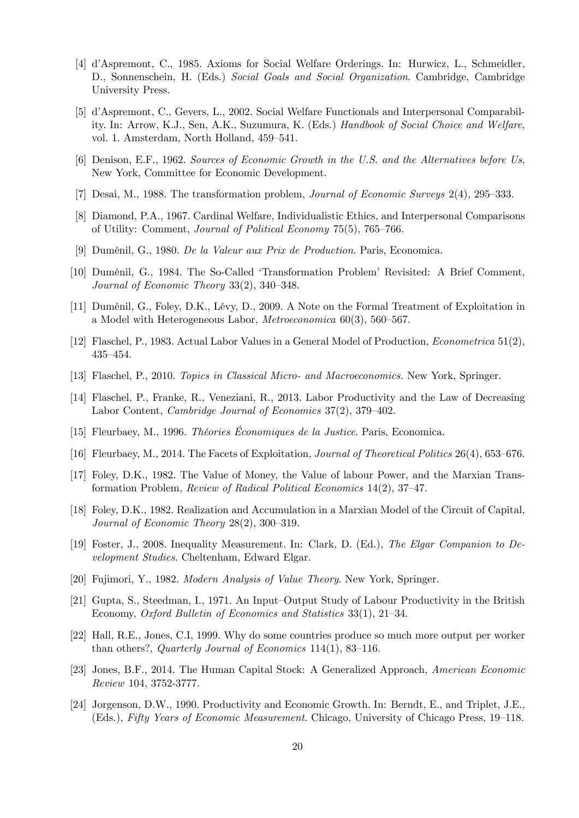- [4] d'Aspremont, C., 1985. Axioms for Social Welfare Orderings. In: Hurwicz, L., Schmeidler, D., Sonnenschein, H. (Eds.) Social Goals and Social Organization. Cambridge, Cambridge University Press.
- [5] d'Aspremont, C., Gevers, L., 2002. Social Welfare Functionals and Interpersonal Comparability. In: Arrow, K.J., Sen, A.K., Suzumura, K. (Eds.) Handbook of Social Choice and Welfare, vol. 1. Amsterdam, North Holland, 459—541.
- [6] Denison, E.F., 1962. Sources of Economic Growth in the U.S. and the Alternatives before Us, New York, Committee for Economic Development.
- [7] Desai, M., 1988. The transformation problem, Journal of Economic Surveys 2(4), 295—333.
- [8] Diamond, P.A., 1967. Cardinal Welfare, Individualistic Ethics, and Interpersonal Comparisons of Utility: Comment, Journal of Political Economy 75(5), 765—766.
- [9] Duménil, G., 1980. De la Valeur aux Prix de Production. Paris, Economica.
- [10] Duménil, G., 1984. The So-Called 'Transformation Problem' Revisited: A Brief Comment, Journal of Economic Theory 33(2), 340—348.
- [11] Duménil, G., Foley, D.K., Lévy, D., 2009. A Note on the Formal Treatment of Exploitation in a Model with Heterogeneous Labor, Metroeconomica 60(3), 560—567.
- [12] Flaschel, P., 1983. Actual Labor Values in a General Model of Production, Econometrica 51(2), 435—454.
- [13] Flaschel, P., 2010. Topics in Classical Micro- and Macroeconomics. New York, Springer.
- [14] Flaschel, P., Franke, R., Veneziani, R., 2013. Labor Productivity and the Law of Decreasing Labor Content, Cambridge Journal of Economics 37(2), 379—402.
- [15] Fleurbaey, M., 1996. Théories Économiques de la Justice. Paris, Economica.
- [16] Fleurbaey, M., 2014. The Facets of Exploitation, Journal of Theoretical Politics 26(4), 653—676.
- [17] Foley, D.K., 1982. The Value of Money, the Value of labour Power, and the Marxian Transformation Problem, Review of Radical Political Economics 14(2), 37—47.
- [18] Foley, D.K., 1982. Realization and Accumulation in a Marxian Model of the Circuit of Capital, Journal of Economic Theory 28(2), 300—319.
- [19] Foster, J., 2008. Inequality Measurement. In: Clark, D. (Ed.), The Elgar Companion to Development Studies. Cheltenham, Edward Elgar.
- [20] Fujimori, Y., 1982. Modern Analysis of Value Theory. New York, Springer.
- [21] Gupta, S., Steedman, I., 1971. An Input—Output Study of Labour Productivity in the British Economy, Oxford Bulletin of Economics and Statistics 33(1), 21—34.
- [22] Hall, R.E., Jones, C.I, 1999. Why do some countries produce so much more output per worker than others?, Quarterly Journal of Economics 114(1), 83—116.
- [23] Jones, B.F., 2014. The Human Capital Stock: A Generalized Approach, American Economic Review 104, 3752-3777.
- [24] Jorgenson, D.W., 1990. Productivity and Economic Growth. In: Berndt, E., and Triplet, J.E., (Eds.), Fifty Years of Economic Measurement. Chicago, University of Chicago Press, 19—118.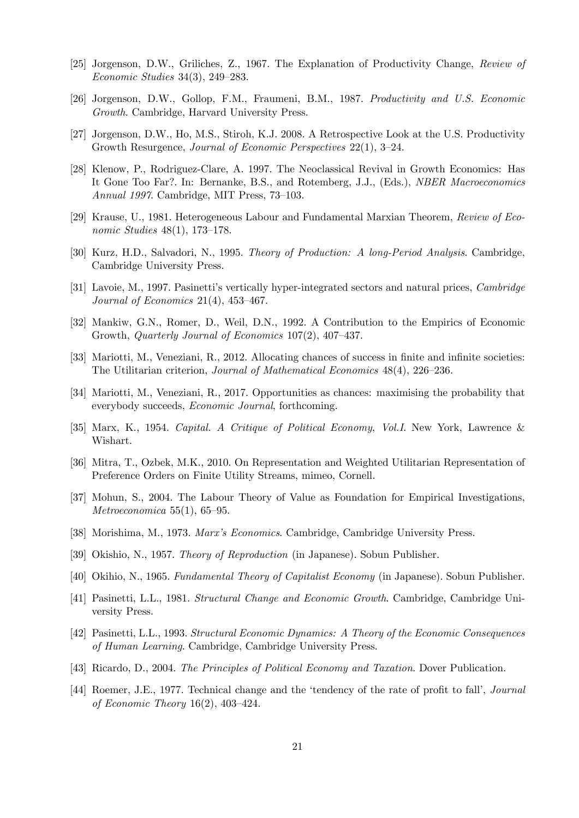- [25] Jorgenson, D.W., Griliches, Z., 1967. The Explanation of Productivity Change, Review of Economic Studies 34(3), 249—283.
- [26] Jorgenson, D.W., Gollop, F.M., Fraumeni, B.M., 1987. Productivity and U.S. Economic Growth. Cambridge, Harvard University Press.
- [27] Jorgenson, D.W., Ho, M.S., Stiroh, K.J. 2008. A Retrospective Look at the U.S. Productivity Growth Resurgence, Journal of Economic Perspectives 22(1), 3—24.
- [28] Klenow, P., Rodriguez-Clare, A. 1997. The Neoclassical Revival in Growth Economics: Has It Gone Too Far?. In: Bernanke, B.S., and Rotemberg, J.J., (Eds.), *NBER Macroeconomics* Annual 1997. Cambridge, MIT Press, 73—103.
- [29] Krause, U., 1981. Heterogeneous Labour and Fundamental Marxian Theorem, Review of Economic Studies 48(1), 173—178.
- [30] Kurz, H.D., Salvadori, N., 1995. Theory of Production: A long-Period Analysis. Cambridge, Cambridge University Press.
- [31] Lavoie, M., 1997. Pasinetti's vertically hyper-integrated sectors and natural prices, Cambridge Journal of Economics 21(4), 453—467.
- [32] Mankiw, G.N., Romer, D., Weil, D.N., 1992. A Contribution to the Empirics of Economic Growth, Quarterly Journal of Economics 107(2), 407—437.
- [33] Mariotti, M., Veneziani, R., 2012. Allocating chances of success in finite and infinite societies: The Utilitarian criterion, Journal of Mathematical Economics 48(4), 226—236.
- [34] Mariotti, M., Veneziani, R., 2017. Opportunities as chances: maximising the probability that everybody succeeds, Economic Journal, forthcoming.
- [35] Marx, K., 1954. Capital. A Critique of Political Economy, Vol.I. New York, Lawrence & Wishart.
- [36] Mitra, T., Ozbek, M.K., 2010. On Representation and Weighted Utilitarian Representation of Preference Orders on Finite Utility Streams, mimeo, Cornell.
- [37] Mohun, S., 2004. The Labour Theory of Value as Foundation for Empirical Investigations, Metroeconomica 55(1), 65—95.
- [38] Morishima, M., 1973. Marx's Economics. Cambridge, Cambridge University Press.
- [39] Okishio, N., 1957. Theory of Reproduction (in Japanese). Sobun Publisher.
- [40] Okihio, N., 1965. Fundamental Theory of Capitalist Economy (in Japanese). Sobun Publisher.
- [41] Pasinetti, L.L., 1981. Structural Change and Economic Growth. Cambridge, Cambridge University Press.
- [42] Pasinetti, L.L., 1993. Structural Economic Dynamics: A Theory of the Economic Consequences of Human Learning. Cambridge, Cambridge University Press.
- [43] Ricardo, D., 2004. The Principles of Political Economy and Taxation. Dover Publication.
- [44] Roemer, J.E., 1977. Technical change and the 'tendency of the rate of profit to fall', Journal of Economic Theory 16(2), 403—424.